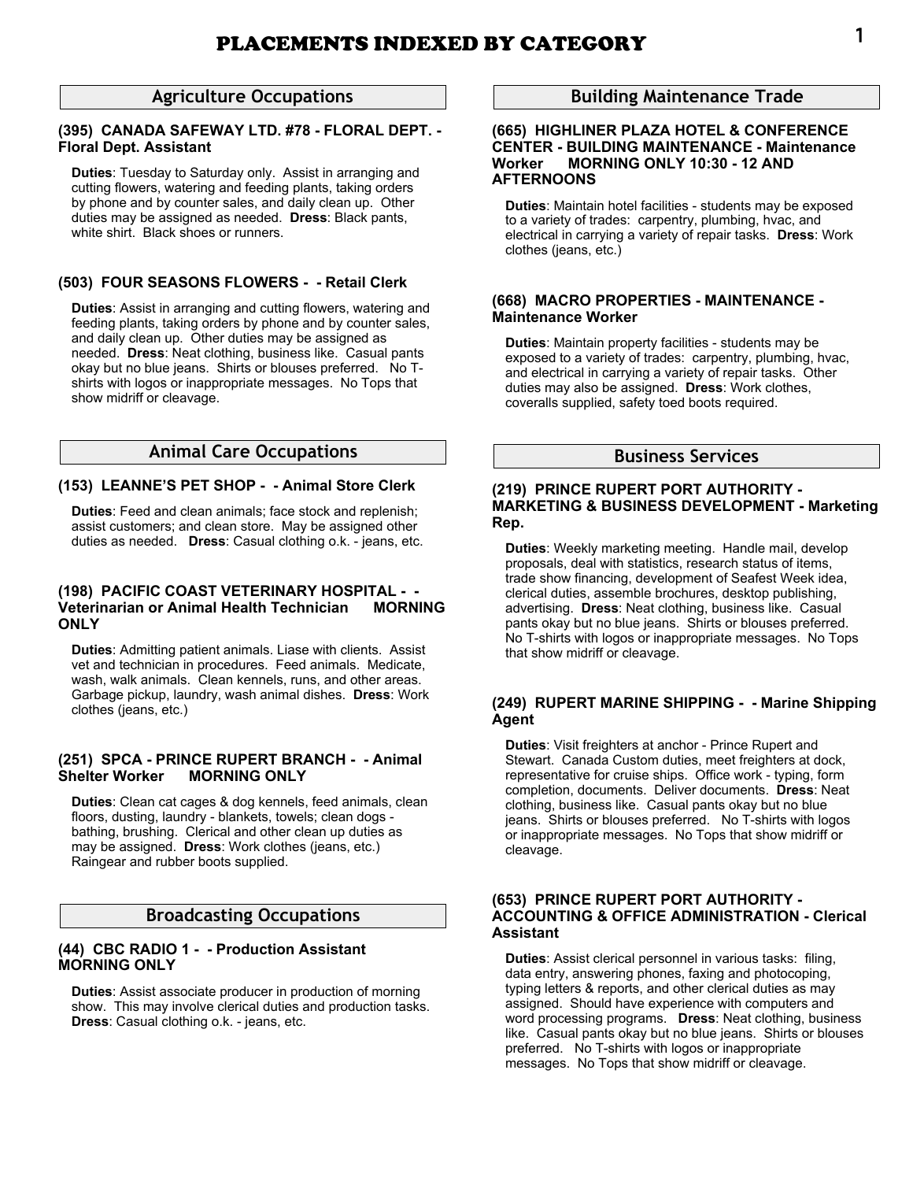# **Agriculture Occupations**

### **(395) CANADA SAFEWAY LTD. #78 - FLORAL DEPT. - Floral Dept. Assistant**

**Duties**: Tuesday to Saturday only. Assist in arranging and cutting flowers, watering and feeding plants, taking orders by phone and by counter sales, and daily clean up. Other duties may be assigned as needed. **Dress**: Black pants, white shirt. Black shoes or runners.

### **(503) FOUR SEASONS FLOWERS - - Retail Clerk**

**Duties**: Assist in arranging and cutting flowers, watering and feeding plants, taking orders by phone and by counter sales, and daily clean up. Other duties may be assigned as needed. **Dress**: Neat clothing, business like. Casual pants okay but no blue jeans. Shirts or blouses preferred. No Tshirts with logos or inappropriate messages. No Tops that show midriff or cleavage.

# **Animal Care Occupations**

### **(153) LEANNE'S PET SHOP - - Animal Store Clerk**

**Duties**: Feed and clean animals; face stock and replenish; assist customers; and clean store. May be assigned other duties as needed. **Dress**: Casual clothing o.k. - jeans, etc.

# **(198) PACIFIC COAST VETERINARY HOSPITAL - - Veterinarian or Animal Health Technician ONLY**

**Duties**: Admitting patient animals. Liase with clients. Assist vet and technician in procedures. Feed animals. Medicate, wash, walk animals. Clean kennels, runs, and other areas. Garbage pickup, laundry, wash animal dishes. **Dress**: Work clothes (jeans, etc.)

### **(251) SPCA - PRINCE RUPERT BRANCH - - Animal Shelter Worker MORNING ONLY**

**Duties**: Clean cat cages & dog kennels, feed animals, clean floors, dusting, laundry - blankets, towels; clean dogs bathing, brushing. Clerical and other clean up duties as may be assigned. **Dress**: Work clothes (jeans, etc.) Raingear and rubber boots supplied.

# **Broadcasting Occupations**

### **(44) CBC RADIO 1 - - Production Assistant MORNING ONLY**

**Duties**: Assist associate producer in production of morning show. This may involve clerical duties and production tasks. **Dress**: Casual clothing o.k. - jeans, etc.

# **Building Maintenance Trade**

### **(665) HIGHLINER PLAZA HOTEL & CONFERENCE CENTER - BUILDING MAINTENANCE - Maintenance Worker MORNING ONLY 10:30 - 12 AND AFTERNOONS**

**Duties**: Maintain hotel facilities - students may be exposed to a variety of trades: carpentry, plumbing, hvac, and electrical in carrying a variety of repair tasks. **Dress**: Work clothes (jeans, etc.)

#### **(668) MACRO PROPERTIES - MAINTENANCE - Maintenance Worker**

**Duties**: Maintain property facilities - students may be exposed to a variety of trades: carpentry, plumbing, hvac, and electrical in carrying a variety of repair tasks. Other duties may also be assigned. **Dress**: Work clothes, coveralls supplied, safety toed boots required.

# **Business Services**

### **(219) PRINCE RUPERT PORT AUTHORITY - MARKETING & BUSINESS DEVELOPMENT - Marketing Rep.**

**Duties**: Weekly marketing meeting. Handle mail, develop proposals, deal with statistics, research status of items, trade show financing, development of Seafest Week idea, clerical duties, assemble brochures, desktop publishing, advertising. **Dress**: Neat clothing, business like. Casual pants okay but no blue jeans. Shirts or blouses preferred. No T-shirts with logos or inappropriate messages. No Tops that show midriff or cleavage.

### **(249) RUPERT MARINE SHIPPING - - Marine Shipping Agent**

**Duties**: Visit freighters at anchor - Prince Rupert and Stewart. Canada Custom duties, meet freighters at dock, representative for cruise ships. Office work - typing, form completion, documents. Deliver documents. **Dress**: Neat clothing, business like. Casual pants okay but no blue jeans. Shirts or blouses preferred. No T-shirts with logos or inappropriate messages. No Tops that show midriff or cleavage.

### **(653) PRINCE RUPERT PORT AUTHORITY - ACCOUNTING & OFFICE ADMINISTRATION - Clerical Assistant**

**Duties**: Assist clerical personnel in various tasks: filing, data entry, answering phones, faxing and photocoping, typing letters & reports, and other clerical duties as may assigned. Should have experience with computers and word processing programs. **Dress**: Neat clothing, business like. Casual pants okay but no blue jeans. Shirts or blouses preferred. No T-shirts with logos or inappropriate messages. No Tops that show midriff or cleavage.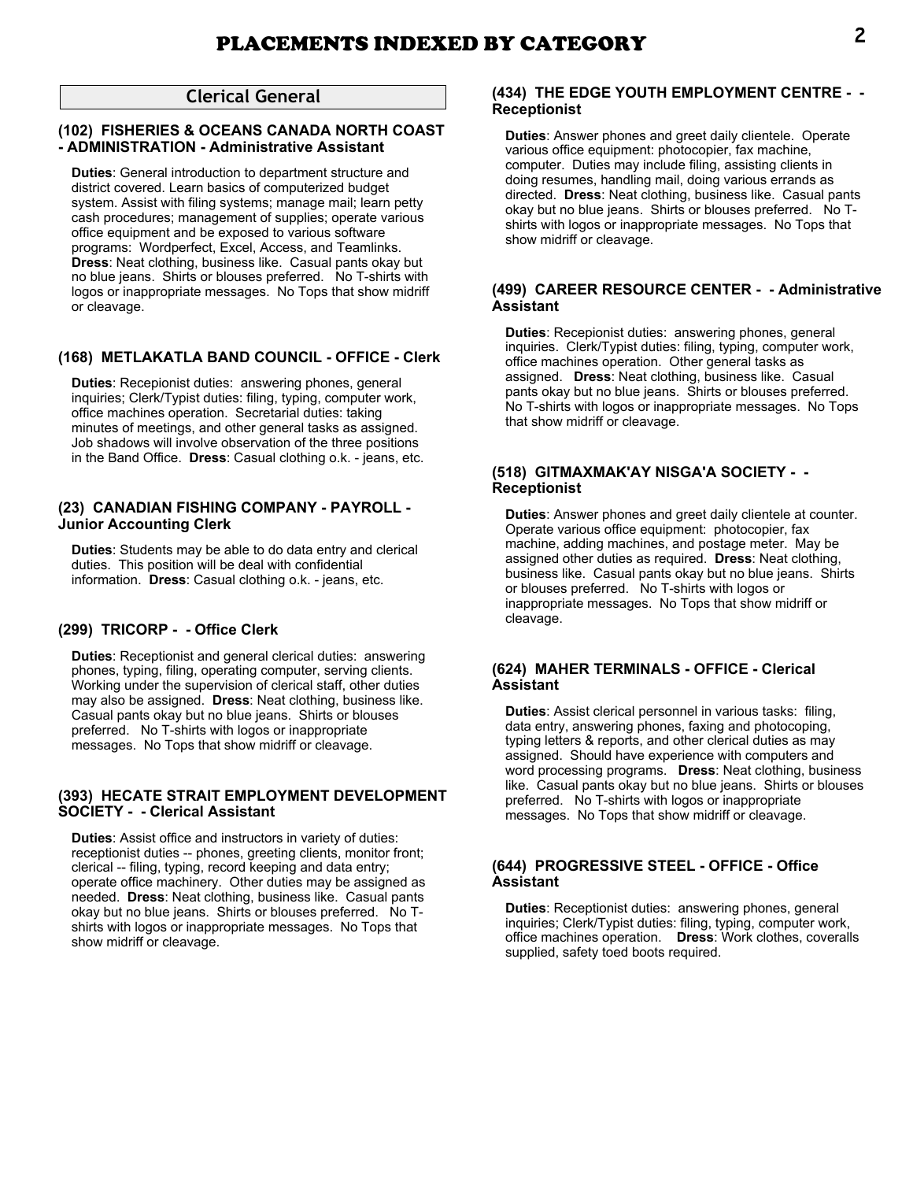# **Clerical General**

# **(102) FISHERIES & OCEANS CANADA NORTH COAST - ADMINISTRATION - Administrative Assistant**

**Duties**: General introduction to department structure and district covered. Learn basics of computerized budget system. Assist with filing systems; manage mail; learn petty cash procedures; management of supplies; operate various office equipment and be exposed to various software programs: Wordperfect, Excel, Access, and Teamlinks. **Dress**: Neat clothing, business like. Casual pants okay but no blue jeans. Shirts or blouses preferred. No T-shirts with logos or inappropriate messages. No Tops that show midriff or cleavage.

# **(168) METLAKATLA BAND COUNCIL - OFFICE - Clerk**

**Duties**: Recepionist duties: answering phones, general inquiries; Clerk/Typist duties: filing, typing, computer work, office machines operation. Secretarial duties: taking minutes of meetings, and other general tasks as assigned. Job shadows will involve observation of the three positions in the Band Office. **Dress**: Casual clothing o.k. - jeans, etc.

### **(23) CANADIAN FISHING COMPANY - PAYROLL - Junior Accounting Clerk**

**Duties**: Students may be able to do data entry and clerical duties. This position will be deal with confidential information. **Dress**: Casual clothing o.k. - jeans, etc.

# **(299) TRICORP - - Office Clerk**

**Duties**: Receptionist and general clerical duties: answering phones, typing, filing, operating computer, serving clients. Working under the supervision of clerical staff, other duties may also be assigned. **Dress**: Neat clothing, business like. Casual pants okay but no blue jeans. Shirts or blouses preferred. No T-shirts with logos or inappropriate messages. No Tops that show midriff or cleavage.

### **(393) HECATE STRAIT EMPLOYMENT DEVELOPMENT SOCIETY - - Clerical Assistant**

**Duties**: Assist office and instructors in variety of duties: receptionist duties -- phones, greeting clients, monitor front; clerical -- filing, typing, record keeping and data entry; operate office machinery. Other duties may be assigned as needed. **Dress**: Neat clothing, business like. Casual pants okay but no blue jeans. Shirts or blouses preferred. No Tshirts with logos or inappropriate messages. No Tops that show midriff or cleavage.

# **(434) THE EDGE YOUTH EMPLOYMENT CENTRE - - Receptionist**

**Duties**: Answer phones and greet daily clientele. Operate various office equipment: photocopier, fax machine, computer. Duties may include filing, assisting clients in doing resumes, handling mail, doing various errands as directed. **Dress**: Neat clothing, business like. Casual pants okay but no blue jeans. Shirts or blouses preferred. No Tshirts with logos or inappropriate messages. No Tops that show midriff or cleavage.

# **(499) CAREER RESOURCE CENTER - - Administrative Assistant**

**Duties**: Recepionist duties: answering phones, general inquiries. Clerk/Typist duties: filing, typing, computer work, office machines operation. Other general tasks as assigned. **Dress**: Neat clothing, business like. Casual pants okay but no blue jeans. Shirts or blouses preferred. No T-shirts with logos or inappropriate messages. No Tops that show midriff or cleavage.

# **(518) GITMAXMAK'AY NISGA'A SOCIETY - - Receptionist**

**Duties**: Answer phones and greet daily clientele at counter. Operate various office equipment: photocopier, fax machine, adding machines, and postage meter. May be assigned other duties as required. **Dress**: Neat clothing, business like. Casual pants okay but no blue jeans. Shirts or blouses preferred. No T-shirts with logos or inappropriate messages. No Tops that show midriff or cleavage.

### **(624) MAHER TERMINALS - OFFICE - Clerical Assistant**

**Duties**: Assist clerical personnel in various tasks: filing, data entry, answering phones, faxing and photocoping, typing letters & reports, and other clerical duties as may assigned. Should have experience with computers and word processing programs. **Dress**: Neat clothing, business like. Casual pants okay but no blue jeans. Shirts or blouses preferred. No T-shirts with logos or inappropriate messages. No Tops that show midriff or cleavage.

### **(644) PROGRESSIVE STEEL - OFFICE - Office Assistant**

**Duties**: Receptionist duties: answering phones, general inquiries; Clerk/Typist duties: filing, typing, computer work, office machines operation. **Dress**: Work clothes, coveralls supplied, safety toed boots required.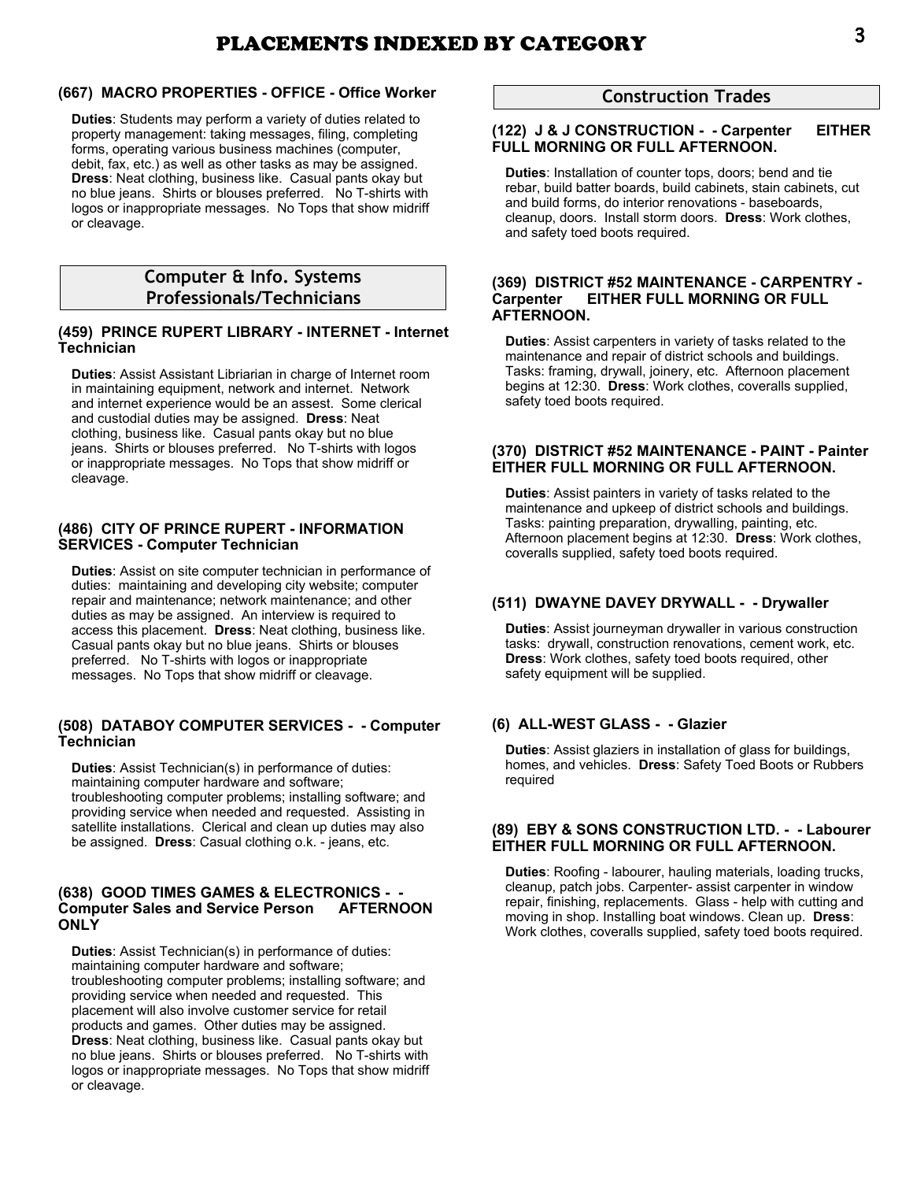# **(667) MACRO PROPERTIES - OFFICE - Office Worker**

**Duties**: Students may perform a variety of duties related to property management: taking messages, filing, completing forms, operating various business machines (computer, debit, fax, etc.) as well as other tasks as may be assigned. **Dress**: Neat clothing, business like. Casual pants okay but no blue jeans. Shirts or blouses preferred. No T-shirts with logos or inappropriate messages. No Tops that show midriff or cleavage.

# **Computer & Info. Systems Professionals/Technicians**

# **(459) PRINCE RUPERT LIBRARY - INTERNET - Internet Technician**

**Duties**: Assist Assistant Libriarian in charge of Internet room in maintaining equipment, network and internet. Network and internet experience would be an assest. Some clerical and custodial duties may be assigned. **Dress**: Neat clothing, business like. Casual pants okay but no blue jeans. Shirts or blouses preferred. No T-shirts with logos or inappropriate messages. No Tops that show midriff or cleavage.

### **(486) CITY OF PRINCE RUPERT - INFORMATION SERVICES - Computer Technician**

**Duties**: Assist on site computer technician in performance of duties: maintaining and developing city website; computer repair and maintenance; network maintenance; and other duties as may be assigned. An interview is required to access this placement. **Dress**: Neat clothing, business like. Casual pants okay but no blue jeans. Shirts or blouses preferred. No T-shirts with logos or inappropriate messages. No Tops that show midriff or cleavage.

### **(508) DATABOY COMPUTER SERVICES - - Computer Technician**

**Duties**: Assist Technician(s) in performance of duties: maintaining computer hardware and software; troubleshooting computer problems; installing software; and providing service when needed and requested. Assisting in satellite installations. Clerical and clean up duties may also be assigned. **Dress**: Casual clothing o.k. - jeans, etc.

# **(638) GOOD TIMES GAMES & ELECTRONICS - - Computer Sales and Service Person AFTERNOON ONLY**

**Duties**: Assist Technician(s) in performance of duties: maintaining computer hardware and software; troubleshooting computer problems; installing software; and providing service when needed and requested. This placement will also involve customer service for retail products and games. Other duties may be assigned. **Dress**: Neat clothing, business like. Casual pants okay but no blue jeans. Shirts or blouses preferred. No T-shirts with logos or inappropriate messages. No Tops that show midriff or cleavage.

# **Construction Trades**

# **(122) J & J CONSTRUCTION - - Carpenter EITHER FULL MORNING OR FULL AFTERNOON.**

**Duties**: Installation of counter tops, doors; bend and tie rebar, build batter boards, build cabinets, stain cabinets, cut and build forms, do interior renovations - baseboards, cleanup, doors. Install storm doors. **Dress**: Work clothes, and safety toed boots required.

### **(369) DISTRICT #52 MAINTENANCE - CARPENTRY - Carpenter EITHER FULL MORNING OR FULL AFTERNOON.**

**Duties**: Assist carpenters in variety of tasks related to the maintenance and repair of district schools and buildings. Tasks: framing, drywall, joinery, etc. Afternoon placement begins at 12:30. **Dress**: Work clothes, coveralls supplied, safety toed boots required.

# **(370) DISTRICT #52 MAINTENANCE - PAINT - Painter EITHER FULL MORNING OR FULL AFTERNOON.**

**Duties**: Assist painters in variety of tasks related to the maintenance and upkeep of district schools and buildings. Tasks: painting preparation, drywalling, painting, etc. Afternoon placement begins at 12:30. **Dress**: Work clothes, coveralls supplied, safety toed boots required.

# **(511) DWAYNE DAVEY DRYWALL - - Drywaller**

**Duties**: Assist journeyman drywaller in various construction tasks: drywall, construction renovations, cement work, etc. **Dress**: Work clothes, safety toed boots required, other safety equipment will be supplied.

# **(6) ALL-WEST GLASS - - Glazier**

**Duties**: Assist glaziers in installation of glass for buildings, homes, and vehicles. **Dress**: Safety Toed Boots or Rubbers required

### **(89) EBY & SONS CONSTRUCTION LTD. - - Labourer EITHER FULL MORNING OR FULL AFTERNOON.**

**Duties**: Roofing - labourer, hauling materials, loading trucks, cleanup, patch jobs. Carpenter- assist carpenter in window repair, finishing, replacements. Glass - help with cutting and moving in shop. Installing boat windows. Clean up. **Dress**: Work clothes, coveralls supplied, safety toed boots required.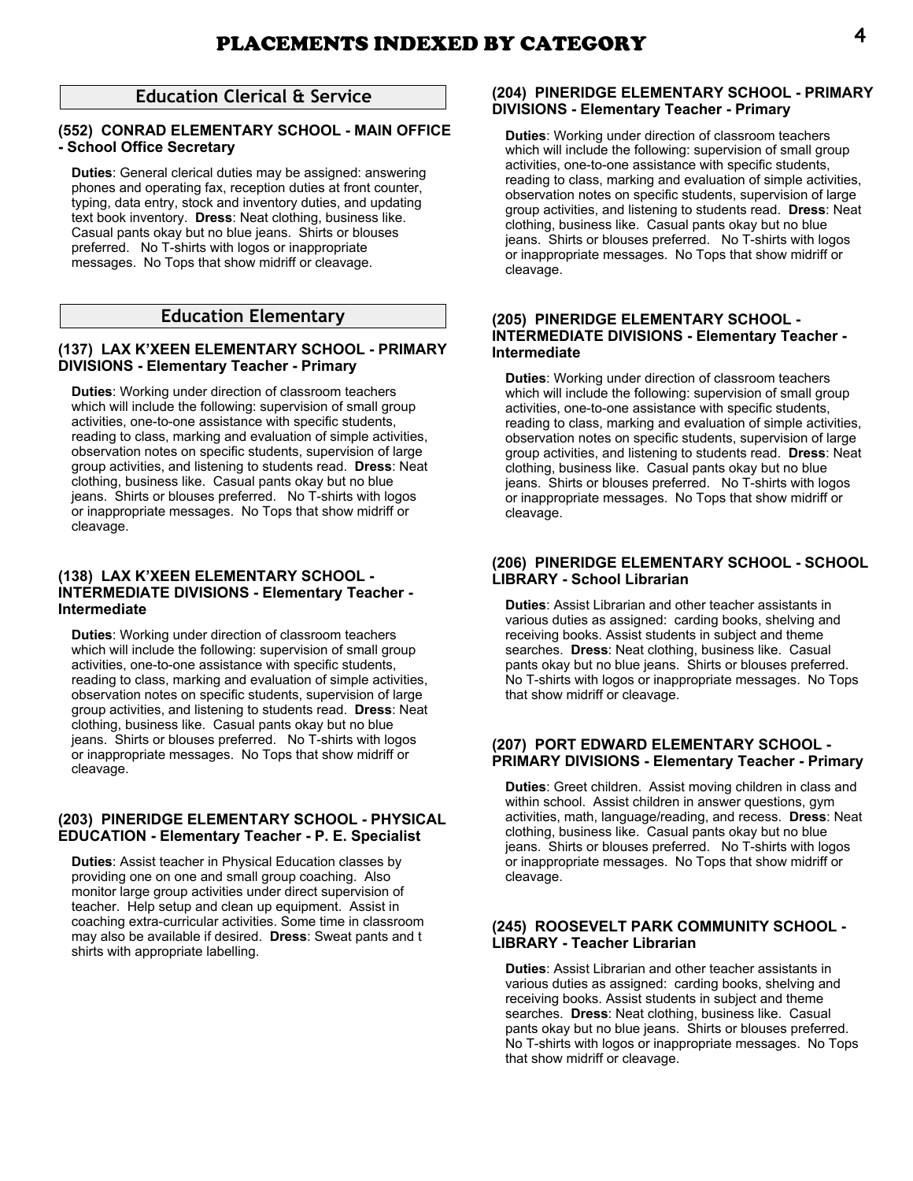# **Education Clerical & Service**

# **(552) CONRAD ELEMENTARY SCHOOL - MAIN OFFICE - School Office Secretary**

**Duties**: General clerical duties may be assigned: answering phones and operating fax, reception duties at front counter, typing, data entry, stock and inventory duties, and updating text book inventory. **Dress**: Neat clothing, business like. Casual pants okay but no blue jeans. Shirts or blouses preferred. No T-shirts with logos or inappropriate messages. No Tops that show midriff or cleavage.

# **Education Elementary**

# **(137) LAX K'XEEN ELEMENTARY SCHOOL - PRIMARY DIVISIONS - Elementary Teacher - Primary**

**Duties**: Working under direction of classroom teachers which will include the following: supervision of small group activities, one-to-one assistance with specific students, reading to class, marking and evaluation of simple activities, observation notes on specific students, supervision of large group activities, and listening to students read. **Dress**: Neat clothing, business like. Casual pants okay but no blue jeans. Shirts or blouses preferred. No T-shirts with logos or inappropriate messages. No Tops that show midriff or cleavage.

### **(138) LAX K'XEEN ELEMENTARY SCHOOL - INTERMEDIATE DIVISIONS - Elementary Teacher - Intermediate**

**Duties**: Working under direction of classroom teachers which will include the following: supervision of small group activities, one-to-one assistance with specific students, reading to class, marking and evaluation of simple activities, observation notes on specific students, supervision of large group activities, and listening to students read. **Dress**: Neat clothing, business like. Casual pants okay but no blue jeans. Shirts or blouses preferred. No T-shirts with logos or inappropriate messages. No Tops that show midriff or cleavage.

### **(203) PINERIDGE ELEMENTARY SCHOOL - PHYSICAL EDUCATION - Elementary Teacher - P. E. Specialist**

**Duties**: Assist teacher in Physical Education classes by providing one on one and small group coaching. Also monitor large group activities under direct supervision of teacher. Help setup and clean up equipment. Assist in coaching extra-curricular activities. Some time in classroom may also be available if desired. **Dress**: Sweat pants and t shirts with appropriate labelling.

# **(204) PINERIDGE ELEMENTARY SCHOOL - PRIMARY DIVISIONS - Elementary Teacher - Primary**

**Duties**: Working under direction of classroom teachers which will include the following: supervision of small group activities, one-to-one assistance with specific students, reading to class, marking and evaluation of simple activities, observation notes on specific students, supervision of large group activities, and listening to students read. **Dress**: Neat clothing, business like. Casual pants okay but no blue jeans. Shirts or blouses preferred. No T-shirts with logos or inappropriate messages. No Tops that show midriff or cleavage.

### **(205) PINERIDGE ELEMENTARY SCHOOL - INTERMEDIATE DIVISIONS - Elementary Teacher - Intermediate**

**Duties**: Working under direction of classroom teachers which will include the following: supervision of small group activities, one-to-one assistance with specific students, reading to class, marking and evaluation of simple activities, observation notes on specific students, supervision of large group activities, and listening to students read. **Dress**: Neat clothing, business like. Casual pants okay but no blue jeans. Shirts or blouses preferred. No T-shirts with logos or inappropriate messages. No Tops that show midriff or cleavage.

# **(206) PINERIDGE ELEMENTARY SCHOOL - SCHOOL LIBRARY - School Librarian**

**Duties**: Assist Librarian and other teacher assistants in various duties as assigned: carding books, shelving and receiving books. Assist students in subject and theme searches. **Dress**: Neat clothing, business like. Casual pants okay but no blue jeans. Shirts or blouses preferred. No T-shirts with logos or inappropriate messages. No Tops that show midriff or cleavage.

### **(207) PORT EDWARD ELEMENTARY SCHOOL - PRIMARY DIVISIONS - Elementary Teacher - Primary**

**Duties**: Greet children. Assist moving children in class and within school. Assist children in answer questions, gym activities, math, language/reading, and recess. **Dress**: Neat clothing, business like. Casual pants okay but no blue jeans. Shirts or blouses preferred. No T-shirts with logos or inappropriate messages. No Tops that show midriff or cleavage.

# **(245) ROOSEVELT PARK COMMUNITY SCHOOL - LIBRARY - Teacher Librarian**

**Duties**: Assist Librarian and other teacher assistants in various duties as assigned: carding books, shelving and receiving books. Assist students in subject and theme searches. **Dress**: Neat clothing, business like. Casual pants okay but no blue jeans. Shirts or blouses preferred. No T-shirts with logos or inappropriate messages. No Tops that show midriff or cleavage.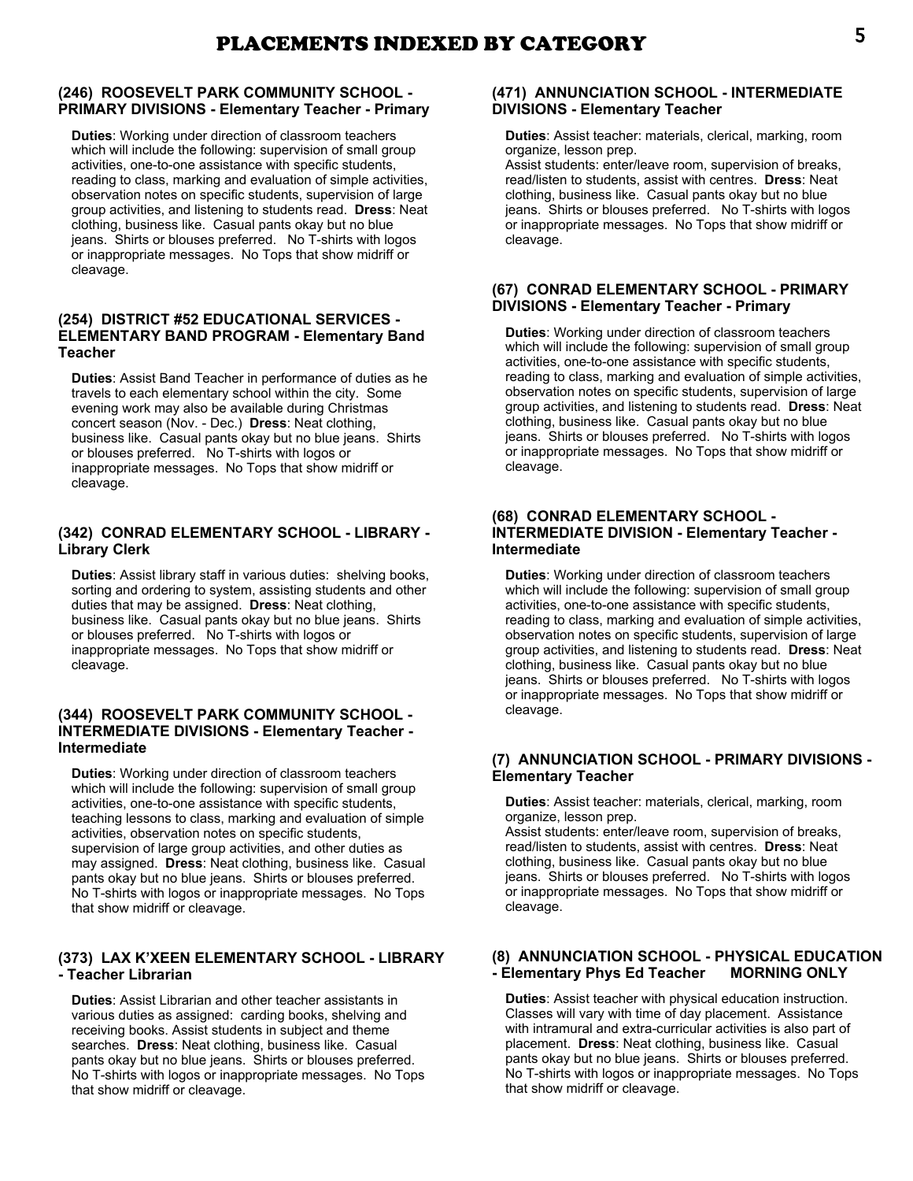# **(246) ROOSEVELT PARK COMMUNITY SCHOOL - PRIMARY DIVISIONS - Elementary Teacher - Primary**

**Duties**: Working under direction of classroom teachers which will include the following: supervision of small group activities, one-to-one assistance with specific students, reading to class, marking and evaluation of simple activities, observation notes on specific students, supervision of large group activities, and listening to students read. **Dress**: Neat clothing, business like. Casual pants okay but no blue jeans. Shirts or blouses preferred. No T-shirts with logos or inappropriate messages. No Tops that show midriff or cleavage.

# **(254) DISTRICT #52 EDUCATIONAL SERVICES - ELEMENTARY BAND PROGRAM - Elementary Band Teacher**

**Duties**: Assist Band Teacher in performance of duties as he travels to each elementary school within the city. Some evening work may also be available during Christmas concert season (Nov. - Dec.) **Dress**: Neat clothing, business like. Casual pants okay but no blue jeans. Shirts or blouses preferred. No T-shirts with logos or inappropriate messages. No Tops that show midriff or cleavage.

# **(342) CONRAD ELEMENTARY SCHOOL - LIBRARY - Library Clerk**

**Duties**: Assist library staff in various duties: shelving books, sorting and ordering to system, assisting students and other duties that may be assigned. **Dress**: Neat clothing, business like. Casual pants okay but no blue jeans. Shirts or blouses preferred. No T-shirts with logos or inappropriate messages. No Tops that show midriff or cleavage.

### **(344) ROOSEVELT PARK COMMUNITY SCHOOL - INTERMEDIATE DIVISIONS - Elementary Teacher - Intermediate**

**Duties**: Working under direction of classroom teachers which will include the following: supervision of small group activities, one-to-one assistance with specific students, teaching lessons to class, marking and evaluation of simple activities, observation notes on specific students, supervision of large group activities, and other duties as may assigned. **Dress**: Neat clothing, business like. Casual pants okay but no blue jeans. Shirts or blouses preferred. No T-shirts with logos or inappropriate messages. No Tops that show midriff or cleavage.

# **(373) LAX K'XEEN ELEMENTARY SCHOOL - LIBRARY - Teacher Librarian**

**Duties**: Assist Librarian and other teacher assistants in various duties as assigned: carding books, shelving and receiving books. Assist students in subject and theme searches. **Dress**: Neat clothing, business like. Casual pants okay but no blue jeans. Shirts or blouses preferred. No T-shirts with logos or inappropriate messages. No Tops that show midriff or cleavage.

# **(471) ANNUNCIATION SCHOOL - INTERMEDIATE DIVISIONS - Elementary Teacher**

**Duties**: Assist teacher: materials, clerical, marking, room organize, lesson prep.

Assist students: enter/leave room, supervision of breaks, read/listen to students, assist with centres. **Dress**: Neat clothing, business like. Casual pants okay but no blue jeans. Shirts or blouses preferred. No T-shirts with logos or inappropriate messages. No Tops that show midriff or cleavage.

# **(67) CONRAD ELEMENTARY SCHOOL - PRIMARY DIVISIONS - Elementary Teacher - Primary**

**Duties**: Working under direction of classroom teachers which will include the following: supervision of small group activities, one-to-one assistance with specific students, reading to class, marking and evaluation of simple activities, observation notes on specific students, supervision of large group activities, and listening to students read. **Dress**: Neat clothing, business like. Casual pants okay but no blue jeans. Shirts or blouses preferred. No T-shirts with logos or inappropriate messages. No Tops that show midriff or cleavage.

### **(68) CONRAD ELEMENTARY SCHOOL - INTERMEDIATE DIVISION - Elementary Teacher - Intermediate**

**Duties**: Working under direction of classroom teachers which will include the following: supervision of small group activities, one-to-one assistance with specific students, reading to class, marking and evaluation of simple activities, observation notes on specific students, supervision of large group activities, and listening to students read. **Dress**: Neat clothing, business like. Casual pants okay but no blue jeans. Shirts or blouses preferred. No T-shirts with logos or inappropriate messages. No Tops that show midriff or cleavage.

# **(7) ANNUNCIATION SCHOOL - PRIMARY DIVISIONS - Elementary Teacher**

**Duties**: Assist teacher: materials, clerical, marking, room organize, lesson prep.

Assist students: enter/leave room, supervision of breaks, read/listen to students, assist with centres. **Dress**: Neat clothing, business like. Casual pants okay but no blue jeans. Shirts or blouses preferred. No T-shirts with logos or inappropriate messages. No Tops that show midriff or cleavage.

# **(8) ANNUNCIATION SCHOOL - PHYSICAL EDUCATION - Elementary Phys Ed Teacher MORNING ONLY**

**Duties**: Assist teacher with physical education instruction. Classes will vary with time of day placement. Assistance with intramural and extra-curricular activities is also part of placement. **Dress**: Neat clothing, business like. Casual pants okay but no blue jeans. Shirts or blouses preferred. No T-shirts with logos or inappropriate messages. No Tops that show midriff or cleavage.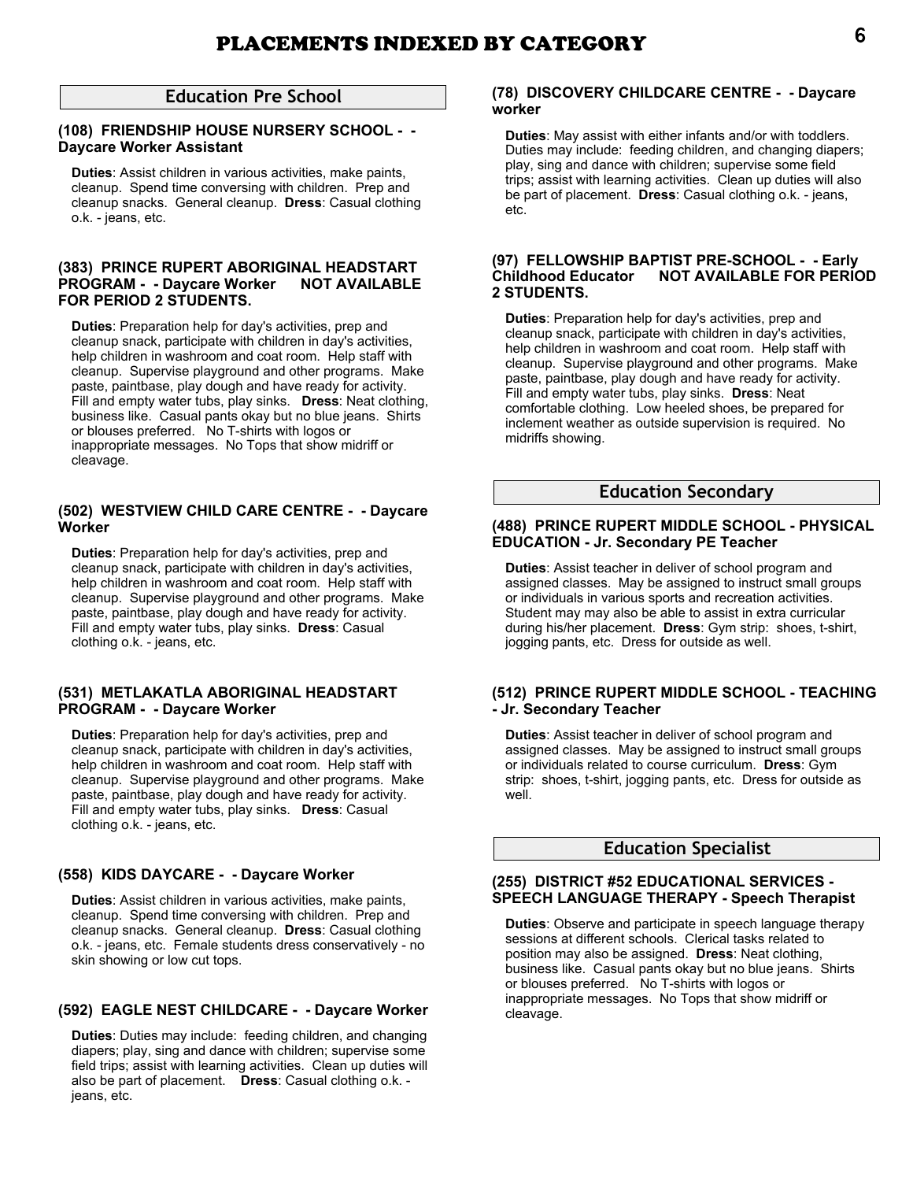# **Education Pre School**

### **(108) FRIENDSHIP HOUSE NURSERY SCHOOL - - Daycare Worker Assistant**

**Duties**: Assist children in various activities, make paints, cleanup. Spend time conversing with children. Prep and cleanup snacks. General cleanup. **Dress**: Casual clothing o.k. - jeans, etc.

# **(383) PRINCE RUPERT ABORIGINAL HEADSTART PROGRAM - - Daycare Worker NOT AVAILABLE FOR PERIOD 2 STUDENTS.**

**Duties**: Preparation help for day's activities, prep and cleanup snack, participate with children in day's activities, help children in washroom and coat room. Help staff with cleanup. Supervise playground and other programs. Make paste, paintbase, play dough and have ready for activity. Fill and empty water tubs, play sinks. **Dress**: Neat clothing, business like. Casual pants okay but no blue jeans. Shirts or blouses preferred. No T-shirts with logos or inappropriate messages. No Tops that show midriff or cleavage.

### **(502) WESTVIEW CHILD CARE CENTRE - - Daycare Worker**

**Duties**: Preparation help for day's activities, prep and cleanup snack, participate with children in day's activities, help children in washroom and coat room. Help staff with cleanup. Supervise playground and other programs. Make paste, paintbase, play dough and have ready for activity. Fill and empty water tubs, play sinks. **Dress**: Casual clothing o.k. - jeans, etc.

### **(531) METLAKATLA ABORIGINAL HEADSTART PROGRAM - - Daycare Worker**

**Duties**: Preparation help for day's activities, prep and cleanup snack, participate with children in day's activities, help children in washroom and coat room. Help staff with cleanup. Supervise playground and other programs. Make paste, paintbase, play dough and have ready for activity. Fill and empty water tubs, play sinks. **Dress**: Casual clothing o.k. - jeans, etc.

# **(558) KIDS DAYCARE - - Daycare Worker**

**Duties**: Assist children in various activities, make paints, cleanup. Spend time conversing with children. Prep and cleanup snacks. General cleanup. **Dress**: Casual clothing o.k. - jeans, etc. Female students dress conservatively - no skin showing or low cut tops.

# **(592) EAGLE NEST CHILDCARE - - Daycare Worker**

**Duties**: Duties may include: feeding children, and changing diapers; play, sing and dance with children; supervise some field trips; assist with learning activities. Clean up duties will also be part of placement. **Dress**: Casual clothing o.k. jeans, etc.

### **(78) DISCOVERY CHILDCARE CENTRE - - Daycare worker**

**Duties**: May assist with either infants and/or with toddlers. Duties may include: feeding children, and changing diapers; play, sing and dance with children; supervise some field trips; assist with learning activities. Clean up duties will also be part of placement. **Dress**: Casual clothing o.k. - jeans, etc.

### **(97) FELLOWSHIP BAPTIST PRE-SCHOOL - - Early Childhood Educator NOT AVAILABLE FOR PERIOD 2 STUDENTS.**

**Duties**: Preparation help for day's activities, prep and cleanup snack, participate with children in day's activities, help children in washroom and coat room. Help staff with cleanup. Supervise playground and other programs. Make paste, paintbase, play dough and have ready for activity. Fill and empty water tubs, play sinks. **Dress**: Neat comfortable clothing. Low heeled shoes, be prepared for inclement weather as outside supervision is required. No midriffs showing.

# **Education Secondary**

### **(488) PRINCE RUPERT MIDDLE SCHOOL - PHYSICAL EDUCATION - Jr. Secondary PE Teacher**

**Duties**: Assist teacher in deliver of school program and assigned classes. May be assigned to instruct small groups or individuals in various sports and recreation activities. Student may may also be able to assist in extra curricular during his/her placement. **Dress**: Gym strip: shoes, t-shirt, jogging pants, etc. Dress for outside as well.

### **(512) PRINCE RUPERT MIDDLE SCHOOL - TEACHING - Jr. Secondary Teacher**

**Duties**: Assist teacher in deliver of school program and assigned classes. May be assigned to instruct small groups or individuals related to course curriculum. **Dress**: Gym strip: shoes, t-shirt, jogging pants, etc. Dress for outside as well.

# **Education Specialist**

# **(255) DISTRICT #52 EDUCATIONAL SERVICES - SPEECH LANGUAGE THERAPY - Speech Therapist**

**Duties**: Observe and participate in speech language therapy sessions at different schools. Clerical tasks related to position may also be assigned. **Dress**: Neat clothing, business like. Casual pants okay but no blue jeans. Shirts or blouses preferred. No T-shirts with logos or inappropriate messages. No Tops that show midriff or cleavage.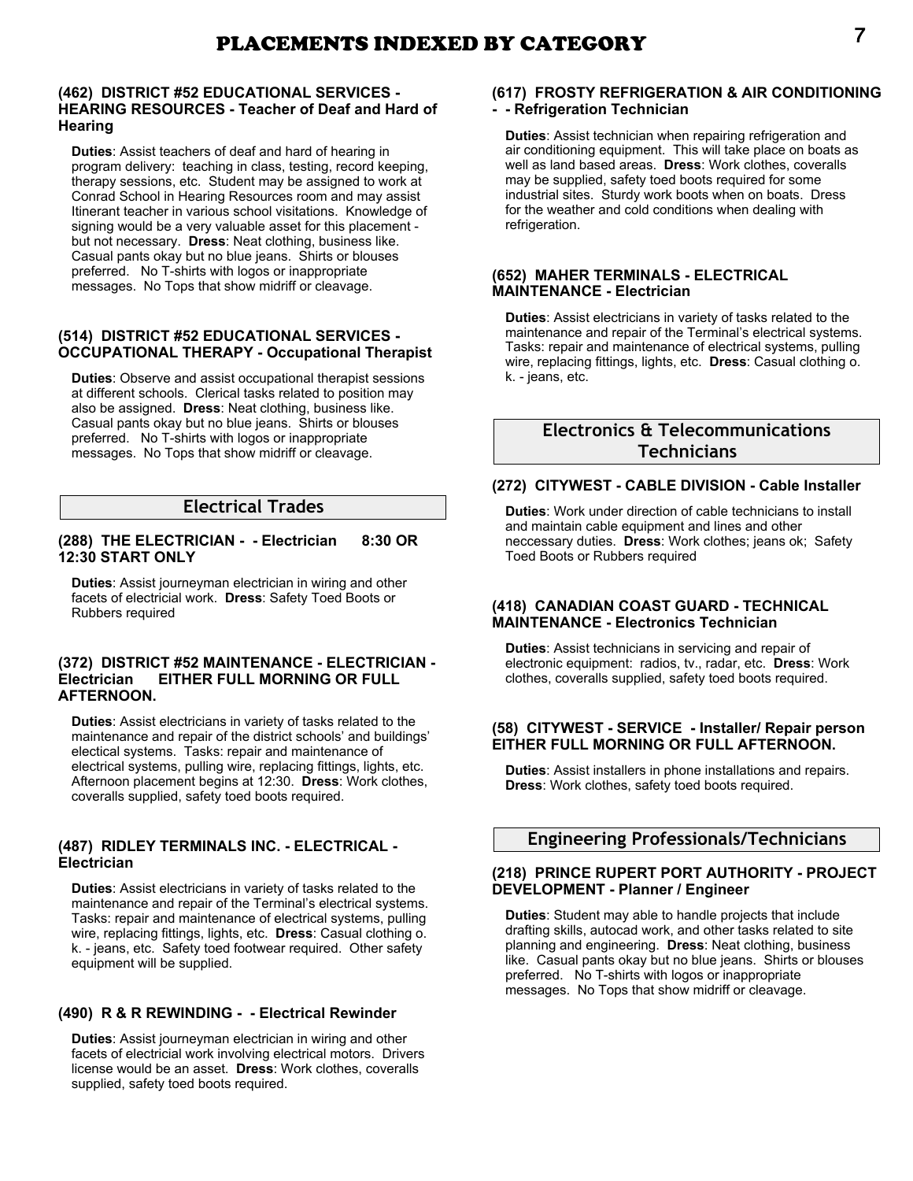### **(462) DISTRICT #52 EDUCATIONAL SERVICES - HEARING RESOURCES - Teacher of Deaf and Hard of Hearing**

**Duties**: Assist teachers of deaf and hard of hearing in program delivery: teaching in class, testing, record keeping, therapy sessions, etc. Student may be assigned to work at Conrad School in Hearing Resources room and may assist Itinerant teacher in various school visitations. Knowledge of signing would be a very valuable asset for this placement but not necessary. **Dress**: Neat clothing, business like. Casual pants okay but no blue jeans. Shirts or blouses preferred. No T-shirts with logos or inappropriate messages. No Tops that show midriff or cleavage.

# **(514) DISTRICT #52 EDUCATIONAL SERVICES - OCCUPATIONAL THERAPY - Occupational Therapist**

**Duties**: Observe and assist occupational therapist sessions at different schools. Clerical tasks related to position may also be assigned. **Dress**: Neat clothing, business like. Casual pants okay but no blue jeans. Shirts or blouses preferred. No T-shirts with logos or inappropriate messages. No Tops that show midriff or cleavage.

# **Electrical Trades**

# **(288) THE ELECTRICIAN - - Electrician 8:30 OR 12:30 START ONLY**

**Duties**: Assist journeyman electrician in wiring and other facets of electricial work. **Dress**: Safety Toed Boots or Rubbers required

### **(372) DISTRICT #52 MAINTENANCE - ELECTRICIAN - EITHER FULL MORNING OR FULL AFTERNOON.**

**Duties**: Assist electricians in variety of tasks related to the maintenance and repair of the district schools' and buildings' electical systems. Tasks: repair and maintenance of electrical systems, pulling wire, replacing fittings, lights, etc. Afternoon placement begins at 12:30. **Dress**: Work clothes, coveralls supplied, safety toed boots required.

### **(487) RIDLEY TERMINALS INC. - ELECTRICAL - Electrician**

**Duties**: Assist electricians in variety of tasks related to the maintenance and repair of the Terminal's electrical systems. Tasks: repair and maintenance of electrical systems, pulling wire, replacing fittings, lights, etc. **Dress**: Casual clothing o. k. - jeans, etc. Safety toed footwear required. Other safety equipment will be supplied.

# **(490) R & R REWINDING - - Electrical Rewinder**

**Duties**: Assist journeyman electrician in wiring and other facets of electricial work involving electrical motors. Drivers license would be an asset. **Dress**: Work clothes, coveralls supplied, safety toed boots required.

### **(617) FROSTY REFRIGERATION & AIR CONDITIONING - - Refrigeration Technician**

**Duties**: Assist technician when repairing refrigeration and air conditioning equipment. This will take place on boats as well as land based areas. **Dress**: Work clothes, coveralls may be supplied, safety toed boots required for some industrial sites. Sturdy work boots when on boats. Dress for the weather and cold conditions when dealing with refrigeration.

#### **(652) MAHER TERMINALS - ELECTRICAL MAINTENANCE - Electrician**

**Duties**: Assist electricians in variety of tasks related to the maintenance and repair of the Terminal's electrical systems. Tasks: repair and maintenance of electrical systems, pulling wire, replacing fittings, lights, etc. **Dress**: Casual clothing o. k. - jeans, etc.

# **Electronics & Telecommunications Technicians**

# **(272) CITYWEST - CABLE DIVISION - Cable Installer**

**Duties**: Work under direction of cable technicians to install and maintain cable equipment and lines and other neccessary duties. **Dress**: Work clothes; jeans ok; Safety Toed Boots or Rubbers required

# **(418) CANADIAN COAST GUARD - TECHNICAL MAINTENANCE - Electronics Technician**

**Duties**: Assist technicians in servicing and repair of electronic equipment: radios, tv., radar, etc. **Dress**: Work clothes, coveralls supplied, safety toed boots required.

# **(58) CITYWEST - SERVICE - Installer/ Repair person EITHER FULL MORNING OR FULL AFTERNOON.**

**Duties**: Assist installers in phone installations and repairs. **Dress**: Work clothes, safety toed boots required.

# **Engineering Professionals/Technicians**

### **(218) PRINCE RUPERT PORT AUTHORITY - PROJECT DEVELOPMENT - Planner / Engineer**

**Duties**: Student may able to handle projects that include drafting skills, autocad work, and other tasks related to site planning and engineering. **Dress**: Neat clothing, business like. Casual pants okay but no blue jeans. Shirts or blouses preferred. No T-shirts with logos or inappropriate messages. No Tops that show midriff or cleavage.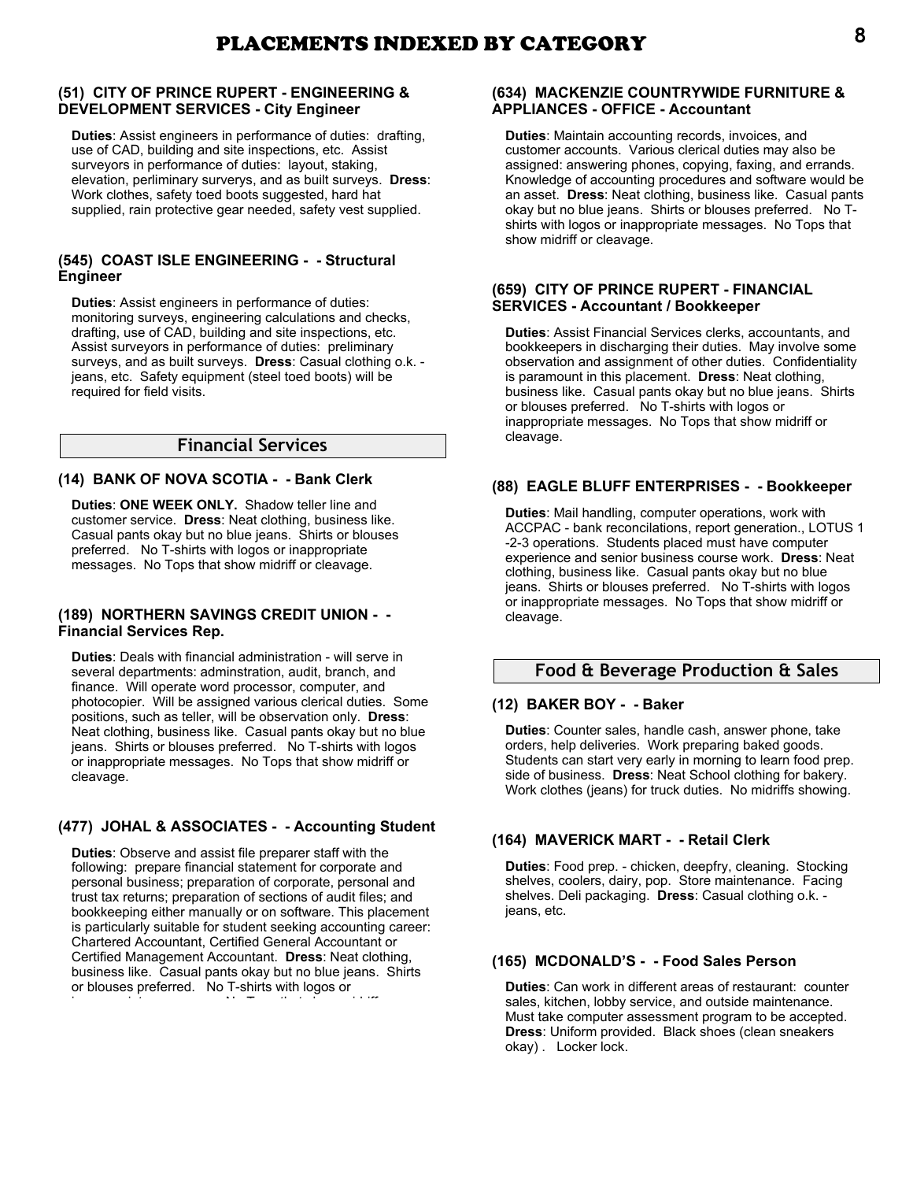# **(51) CITY OF PRINCE RUPERT - ENGINEERING & DEVELOPMENT SERVICES - City Engineer**

**Duties**: Assist engineers in performance of duties: drafting, use of CAD, building and site inspections, etc. Assist surveyors in performance of duties: layout, staking, elevation, perliminary surverys, and as built surveys. **Dress**: Work clothes, safety toed boots suggested, hard hat supplied, rain protective gear needed, safety vest supplied.

# **(545) COAST ISLE ENGINEERING - - Structural Engineer**

**Duties**: Assist engineers in performance of duties: monitoring surveys, engineering calculations and checks, drafting, use of CAD, building and site inspections, etc. Assist surveyors in performance of duties: preliminary surveys, and as built surveys. **Dress**: Casual clothing o.k. jeans, etc. Safety equipment (steel toed boots) will be required for field visits.

# **Financial Services**

# **(14) BANK OF NOVA SCOTIA - - Bank Clerk**

**Duties**: **ONE WEEK ONLY.** Shadow teller line and customer service. **Dress**: Neat clothing, business like. Casual pants okay but no blue jeans. Shirts or blouses preferred. No T-shirts with logos or inappropriate messages. No Tops that show midriff or cleavage.

### **(189) NORTHERN SAVINGS CREDIT UNION - - Financial Services Rep.**

**Duties**: Deals with financial administration - will serve in several departments: adminstration, audit, branch, and finance. Will operate word processor, computer, and photocopier. Will be assigned various clerical duties. Some positions, such as teller, will be observation only. **Dress**: Neat clothing, business like. Casual pants okay but no blue jeans. Shirts or blouses preferred. No T-shirts with logos or inappropriate messages. No Tops that show midriff or cleavage.

# **(477) JOHAL & ASSOCIATES - - Accounting Student**

**Duties**: Observe and assist file preparer staff with the following: prepare financial statement for corporate and personal business; preparation of corporate, personal and trust tax returns; preparation of sections of audit files; and bookkeeping either manually or on software. This placement is particularly suitable for student seeking accounting career: Chartered Accountant, Certified General Accountant or Certified Management Accountant. **Dress**: Neat clothing, business like. Casual pants okay but no blue jeans. Shirts or blouses preferred. No T-shirts with logos or inappropriate messages. No Tops that show midriff or

# **(634) MACKENZIE COUNTRYWIDE FURNITURE & APPLIANCES - OFFICE - Accountant**

**Duties**: Maintain accounting records, invoices, and customer accounts. Various clerical duties may also be assigned: answering phones, copying, faxing, and errands. Knowledge of accounting procedures and software would be an asset. **Dress**: Neat clothing, business like. Casual pants okay but no blue jeans. Shirts or blouses preferred. No Tshirts with logos or inappropriate messages. No Tops that show midriff or cleavage.

### **(659) CITY OF PRINCE RUPERT - FINANCIAL SERVICES - Accountant / Bookkeeper**

**Duties**: Assist Financial Services clerks, accountants, and bookkeepers in discharging their duties. May involve some observation and assignment of other duties. Confidentiality is paramount in this placement. **Dress**: Neat clothing, business like. Casual pants okay but no blue jeans. Shirts or blouses preferred. No T-shirts with logos or inappropriate messages. No Tops that show midriff or cleavage.

# **(88) EAGLE BLUFF ENTERPRISES - - Bookkeeper**

**Duties**: Mail handling, computer operations, work with ACCPAC - bank reconcilations, report generation., LOTUS 1 -2-3 operations. Students placed must have computer experience and senior business course work. **Dress**: Neat clothing, business like. Casual pants okay but no blue jeans. Shirts or blouses preferred. No T-shirts with logos or inappropriate messages. No Tops that show midriff or cleavage.

# **Food & Beverage Production & Sales**

# **(12) BAKER BOY - - Baker**

**Duties**: Counter sales, handle cash, answer phone, take orders, help deliveries. Work preparing baked goods. Students can start very early in morning to learn food prep. side of business. **Dress**: Neat School clothing for bakery. Work clothes (jeans) for truck duties. No midriffs showing.

# **(164) MAVERICK MART - - Retail Clerk**

**Duties**: Food prep. - chicken, deepfry, cleaning. Stocking shelves, coolers, dairy, pop. Store maintenance. Facing shelves. Deli packaging. **Dress**: Casual clothing o.k. jeans, etc.

# **(165) MCDONALD'S - - Food Sales Person**

**Duties**: Can work in different areas of restaurant: counter sales, kitchen, lobby service, and outside maintenance. Must take computer assessment program to be accepted. **Dress**: Uniform provided. Black shoes (clean sneakers okay) . Locker lock.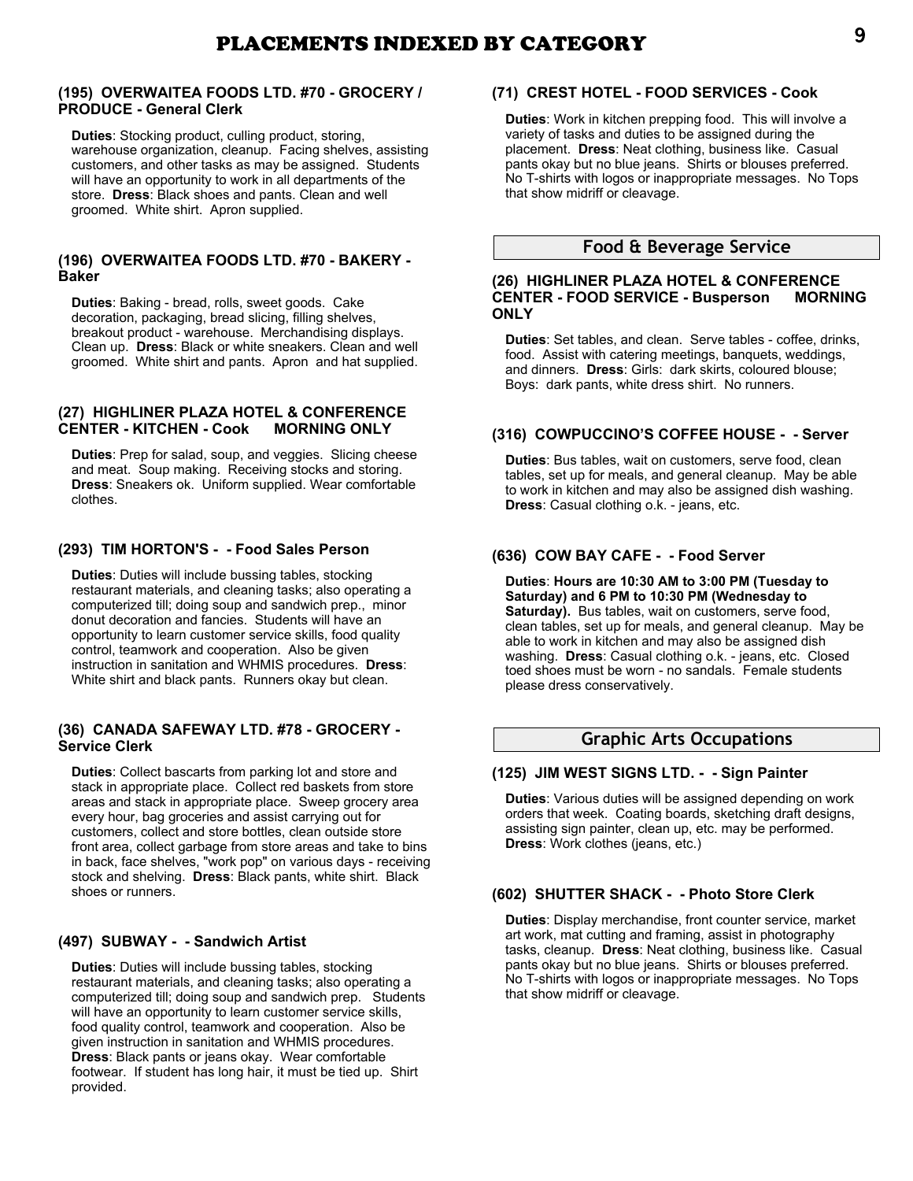### **(195) OVERWAITEA FOODS LTD. #70 - GROCERY / PRODUCE - General Clerk**

**Duties**: Stocking product, culling product, storing, warehouse organization, cleanup. Facing shelves, assisting customers, and other tasks as may be assigned. Students will have an opportunity to work in all departments of the store. **Dress**: Black shoes and pants. Clean and well groomed. White shirt. Apron supplied.

# **(196) OVERWAITEA FOODS LTD. #70 - BAKERY - Baker**

**Duties**: Baking - bread, rolls, sweet goods. Cake decoration, packaging, bread slicing, filling shelves, breakout product - warehouse. Merchandising displays. Clean up. **Dress**: Black or white sneakers. Clean and well groomed. White shirt and pants. Apron and hat supplied.

# **(27) HIGHLINER PLAZA HOTEL & CONFERENCE CENTER - KITCHEN - Cook MORNING ONLY**

**Duties**: Prep for salad, soup, and veggies. Slicing cheese and meat. Soup making. Receiving stocks and storing. **Dress**: Sneakers ok. Uniform supplied. Wear comfortable clothes.

# **(293) TIM HORTON'S - - Food Sales Person**

**Duties**: Duties will include bussing tables, stocking restaurant materials, and cleaning tasks; also operating a computerized till; doing soup and sandwich prep., minor donut decoration and fancies. Students will have an opportunity to learn customer service skills, food quality control, teamwork and cooperation. Also be given instruction in sanitation and WHMIS procedures. **Dress**: White shirt and black pants. Runners okay but clean.

### **(36) CANADA SAFEWAY LTD. #78 - GROCERY - Service Clerk**

**Duties**: Collect bascarts from parking lot and store and stack in appropriate place. Collect red baskets from store areas and stack in appropriate place. Sweep grocery area every hour, bag groceries and assist carrying out for customers, collect and store bottles, clean outside store front area, collect garbage from store areas and take to bins in back, face shelves, "work pop" on various days - receiving stock and shelving. **Dress**: Black pants, white shirt. Black shoes or runners.

# **(497) SUBWAY - - Sandwich Artist**

**Duties**: Duties will include bussing tables, stocking restaurant materials, and cleaning tasks; also operating a computerized till; doing soup and sandwich prep. Students will have an opportunity to learn customer service skills, food quality control, teamwork and cooperation. Also be given instruction in sanitation and WHMIS procedures. **Dress**: Black pants or jeans okay. Wear comfortable footwear. If student has long hair, it must be tied up. Shirt provided.

# **(71) CREST HOTEL - FOOD SERVICES - Cook**

**Duties**: Work in kitchen prepping food. This will involve a variety of tasks and duties to be assigned during the placement. **Dress**: Neat clothing, business like. Casual pants okay but no blue jeans. Shirts or blouses preferred. No T-shirts with logos or inappropriate messages. No Tops that show midriff or cleavage.

# **Food & Beverage Service**

### **(26) HIGHLINER PLAZA HOTEL & CONFERENCE CENTER - FOOD SERVICE - Busperson MORNING ONLY**

**Duties**: Set tables, and clean. Serve tables - coffee, drinks, food. Assist with catering meetings, banquets, weddings, and dinners. **Dress**: Girls: dark skirts, coloured blouse; Boys: dark pants, white dress shirt. No runners.

# **(316) COWPUCCINO'S COFFEE HOUSE - - Server**

**Duties**: Bus tables, wait on customers, serve food, clean tables, set up for meals, and general cleanup. May be able to work in kitchen and may also be assigned dish washing. **Dress**: Casual clothing o.k. - jeans, etc.

# **(636) COW BAY CAFE - - Food Server**

**Duties**: **Hours are 10:30 AM to 3:00 PM (Tuesday to Saturday) and 6 PM to 10:30 PM (Wednesday to Saturday).** Bus tables, wait on customers, serve food, clean tables, set up for meals, and general cleanup. May be able to work in kitchen and may also be assigned dish washing. **Dress**: Casual clothing o.k. - jeans, etc. Closed toed shoes must be worn - no sandals. Female students please dress conservatively.

# **Graphic Arts Occupations**

# **(125) JIM WEST SIGNS LTD. - - Sign Painter**

**Duties**: Various duties will be assigned depending on work orders that week. Coating boards, sketching draft designs, assisting sign painter, clean up, etc. may be performed. **Dress**: Work clothes (jeans, etc.)

# **(602) SHUTTER SHACK - - Photo Store Clerk**

**Duties**: Display merchandise, front counter service, market art work, mat cutting and framing, assist in photography tasks, cleanup. **Dress**: Neat clothing, business like. Casual pants okay but no blue jeans. Shirts or blouses preferred. No T-shirts with logos or inappropriate messages. No Tops that show midriff or cleavage.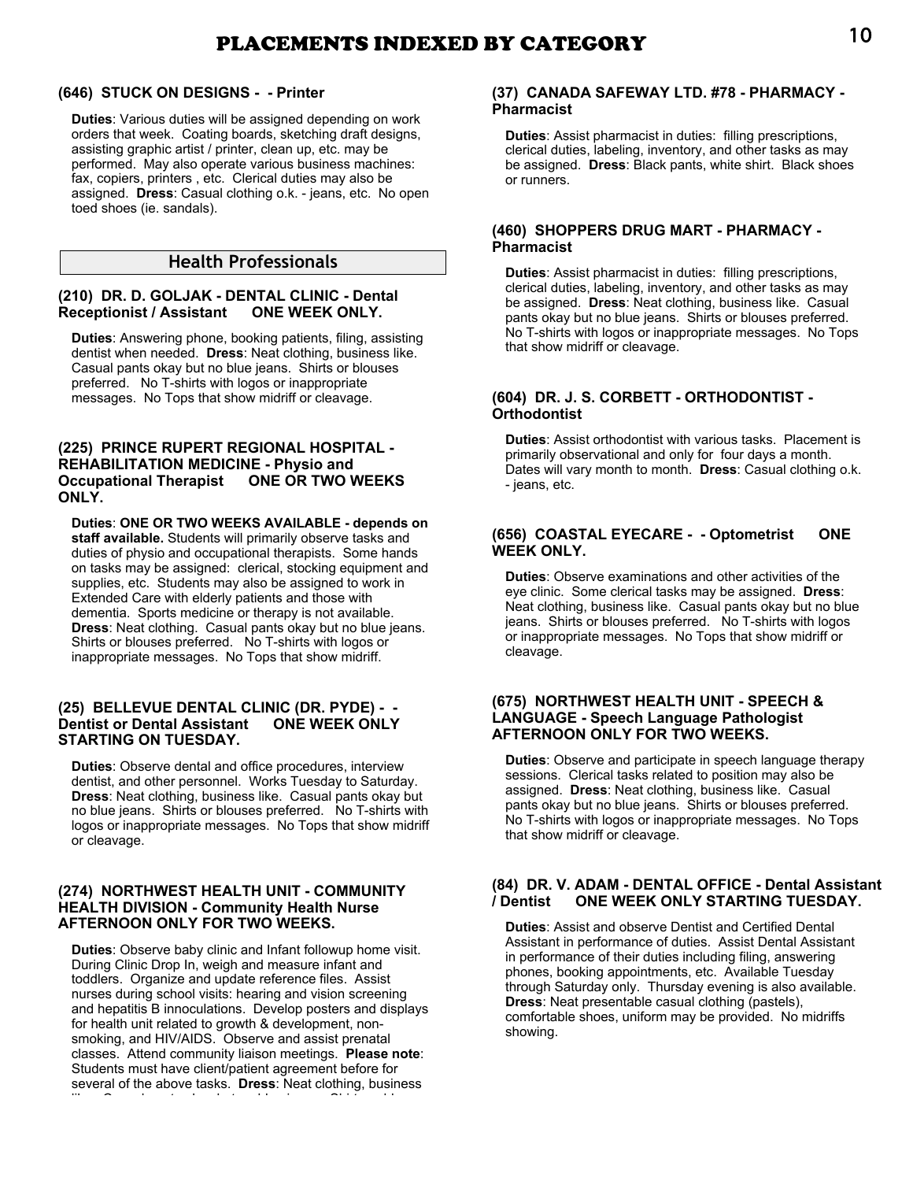# PLACEMENTS INDEXED BY CATEGORY 10

### **(646) STUCK ON DESIGNS - - Printer**

**Duties**: Various duties will be assigned depending on work orders that week. Coating boards, sketching draft designs, assisting graphic artist / printer, clean up, etc. may be performed. May also operate various business machines: fax, copiers, printers , etc. Clerical duties may also be assigned. **Dress**: Casual clothing o.k. - jeans, etc. No open toed shoes (ie. sandals).

# **Health Professionals**

### **(210) DR. D. GOLJAK - DENTAL CLINIC - Dental Receptionist / Assistant**

**Duties**: Answering phone, booking patients, filing, assisting dentist when needed. **Dress**: Neat clothing, business like. Casual pants okay but no blue jeans. Shirts or blouses preferred. No T-shirts with logos or inappropriate messages. No Tops that show midriff or cleavage.

### **(225) PRINCE RUPERT REGIONAL HOSPITAL - REHABILITATION MEDICINE - Physio and Occupational Therapist ONE OR TWO WEEKS ONLY.**

**Duties**: **ONE OR TWO WEEKS AVAILABLE - depends on staff available.** Students will primarily observe tasks and duties of physio and occupational therapists. Some hands on tasks may be assigned: clerical, stocking equipment and supplies, etc. Students may also be assigned to work in Extended Care with elderly patients and those with dementia. Sports medicine or therapy is not available. **Dress**: Neat clothing. Casual pants okay but no blue jeans. Shirts or blouses preferred. No T-shirts with logos or inappropriate messages. No Tops that show midriff.

### **(25) BELLEVUE DENTAL CLINIC (DR. PYDE) - - Dentist or Dental Assistant ONE WEEK ONLY STARTING ON TUESDAY.**

**Duties**: Observe dental and office procedures, interview dentist, and other personnel. Works Tuesday to Saturday. **Dress**: Neat clothing, business like. Casual pants okay but no blue jeans. Shirts or blouses preferred. No T-shirts with logos or inappropriate messages. No Tops that show midriff or cleavage.

# **(274) NORTHWEST HEALTH UNIT - COMMUNITY HEALTH DIVISION - Community Health Nurse AFTERNOON ONLY FOR TWO WEEKS.**

**Duties**: Observe baby clinic and Infant followup home visit. During Clinic Drop In, weigh and measure infant and toddlers. Organize and update reference files. Assist nurses during school visits: hearing and vision screening and hepatitis B innoculations. Develop posters and displays for health unit related to growth & development, nonsmoking, and HIV/AIDS. Observe and assist prenatal classes. Attend community liaison meetings. **Please note**: Students must have client/patient agreement before for several of the above tasks. **Dress**: Neat clothing, business like. Casual pants okay but no blue jeans. Shirts or blouses

### **(37) CANADA SAFEWAY LTD. #78 - PHARMACY - Pharmacist**

**Duties**: Assist pharmacist in duties: filling prescriptions, clerical duties, labeling, inventory, and other tasks as may be assigned. **Dress**: Black pants, white shirt. Black shoes or runners.

### **(460) SHOPPERS DRUG MART - PHARMACY - Pharmacist**

**Duties**: Assist pharmacist in duties: filling prescriptions, clerical duties, labeling, inventory, and other tasks as may be assigned. **Dress**: Neat clothing, business like. Casual pants okay but no blue jeans. Shirts or blouses preferred. No T-shirts with logos or inappropriate messages. No Tops that show midriff or cleavage.

### **(604) DR. J. S. CORBETT - ORTHODONTIST - Orthodontist**

**Duties**: Assist orthodontist with various tasks. Placement is primarily observational and only for four days a month. Dates will vary month to month. **Dress**: Casual clothing o.k. - jeans, etc.

### **(656) COASTAL EYECARE - - Optometrist ONE WEEK ONLY.**

**Duties**: Observe examinations and other activities of the eye clinic. Some clerical tasks may be assigned. **Dress**: Neat clothing, business like. Casual pants okay but no blue jeans. Shirts or blouses preferred. No T-shirts with logos or inappropriate messages. No Tops that show midriff or cleavage.

### **(675) NORTHWEST HEALTH UNIT - SPEECH & LANGUAGE - Speech Language Pathologist AFTERNOON ONLY FOR TWO WEEKS.**

**Duties**: Observe and participate in speech language therapy sessions. Clerical tasks related to position may also be assigned. **Dress**: Neat clothing, business like. Casual pants okay but no blue jeans. Shirts or blouses preferred. No T-shirts with logos or inappropriate messages. No Tops that show midriff or cleavage.

# **(84) DR. V. ADAM - DENTAL OFFICE - Dental Assistant / Dentist ONE WEEK ONLY STARTING TUESDAY.**

**Duties**: Assist and observe Dentist and Certified Dental Assistant in performance of duties. Assist Dental Assistant in performance of their duties including filing, answering phones, booking appointments, etc. Available Tuesday through Saturday only. Thursday evening is also available. **Dress**: Neat presentable casual clothing (pastels), comfortable shoes, uniform may be provided. No midriffs showing.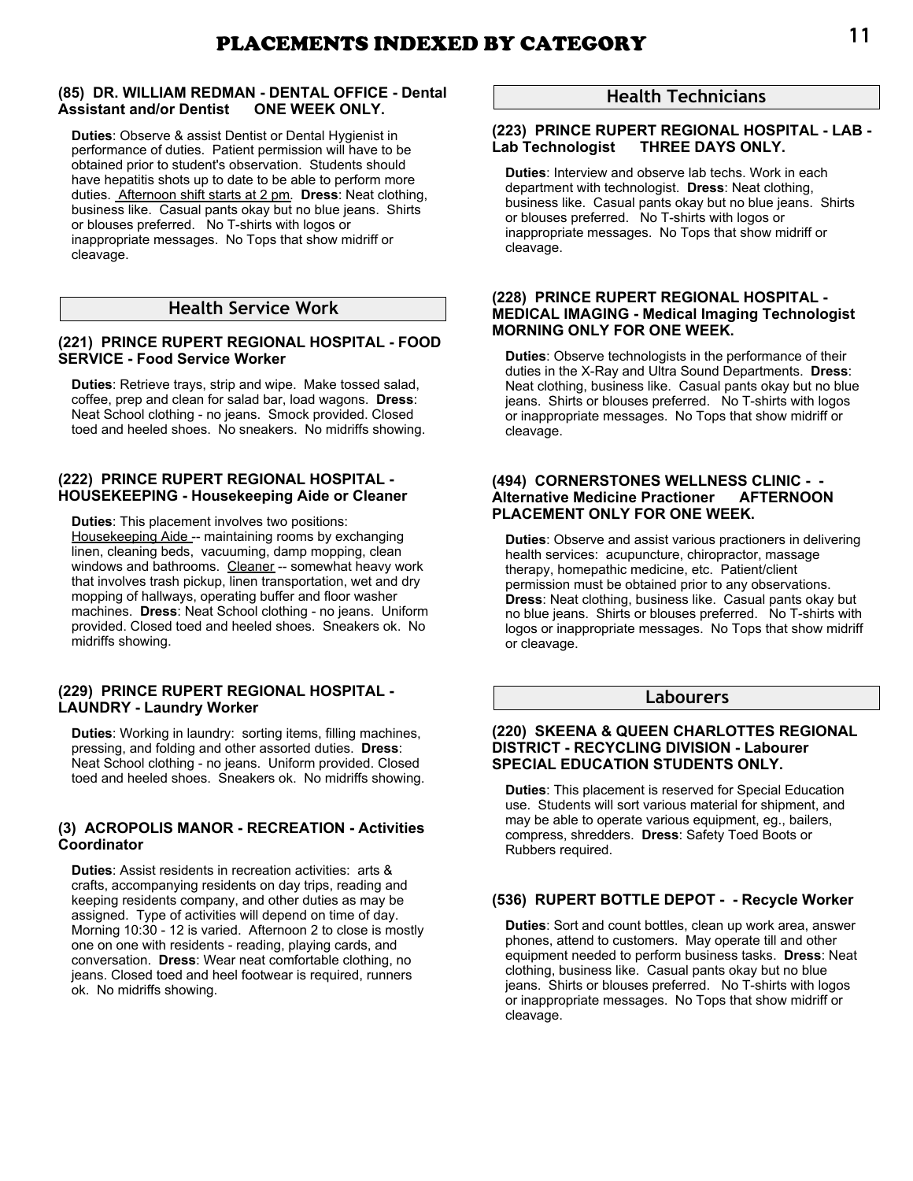# **(85) DR. WILLIAM REDMAN - DENTAL OFFICE - Dental Assistant and/or Dentist ONE WEEK ONLY.**

**Duties**: Observe & assist Dentist or Dental Hygienist in performance of duties. Patient permission will have to be obtained prior to student's observation. Students should have hepatitis shots up to date to be able to perform more duties. Afternoon shift starts at 2 pm. **Dress**: Neat clothing, business like. Casual pants okay but no blue jeans. Shirts or blouses preferred. No T-shirts with logos or inappropriate messages. No Tops that show midriff or cleavage.

# **Health Service Work**

# **(221) PRINCE RUPERT REGIONAL HOSPITAL - FOOD SERVICE - Food Service Worker**

**Duties**: Retrieve trays, strip and wipe. Make tossed salad, coffee, prep and clean for salad bar, load wagons. **Dress**: Neat School clothing - no jeans. Smock provided. Closed toed and heeled shoes. No sneakers. No midriffs showing.

# **(222) PRINCE RUPERT REGIONAL HOSPITAL - HOUSEKEEPING - Housekeeping Aide or Cleaner**

**Duties**: This placement involves two positions: Housekeeping Aide -- maintaining rooms by exchanging linen, cleaning beds, vacuuming, damp mopping, clean windows and bathrooms. Cleaner -- somewhat heavy work that involves trash pickup, linen transportation, wet and dry mopping of hallways, operating buffer and floor washer machines. **Dress**: Neat School clothing - no jeans. Uniform provided. Closed toed and heeled shoes. Sneakers ok. No midriffs showing.

### **(229) PRINCE RUPERT REGIONAL HOSPITAL - LAUNDRY - Laundry Worker**

**Duties**: Working in laundry: sorting items, filling machines, pressing, and folding and other assorted duties. **Dress**: Neat School clothing - no jeans. Uniform provided. Closed toed and heeled shoes. Sneakers ok. No midriffs showing.

### **(3) ACROPOLIS MANOR - RECREATION - Activities Coordinator**

**Duties**: Assist residents in recreation activities: arts & crafts, accompanying residents on day trips, reading and keeping residents company, and other duties as may be assigned. Type of activities will depend on time of day. Morning 10:30 - 12 is varied. Afternoon 2 to close is mostly one on one with residents - reading, playing cards, and conversation. **Dress**: Wear neat comfortable clothing, no jeans. Closed toed and heel footwear is required, runners ok. No midriffs showing.

# **Health Technicians**

# **(223) PRINCE RUPERT REGIONAL HOSPITAL - LAB - THREE DAYS ONLY.**

**Duties**: Interview and observe lab techs. Work in each department with technologist. **Dress**: Neat clothing, business like. Casual pants okay but no blue jeans. Shirts or blouses preferred. No T-shirts with logos or inappropriate messages. No Tops that show midriff or cleavage.

### **(228) PRINCE RUPERT REGIONAL HOSPITAL - MEDICAL IMAGING - Medical Imaging Technologist MORNING ONLY FOR ONE WEEK.**

**Duties**: Observe technologists in the performance of their duties in the X-Ray and Ultra Sound Departments. **Dress**: Neat clothing, business like. Casual pants okay but no blue jeans. Shirts or blouses preferred. No T-shirts with logos or inappropriate messages. No Tops that show midriff or cleavage.

### **(494) CORNERSTONES WELLNESS CLINIC - - Alternative Medicine Practioner AFTERNOON PLACEMENT ONLY FOR ONE WEEK.**

**Duties**: Observe and assist various practioners in delivering health services: acupuncture, chiropractor, massage therapy, homepathic medicine, etc. Patient/client permission must be obtained prior to any observations. **Dress**: Neat clothing, business like. Casual pants okay but no blue jeans. Shirts or blouses preferred. No T-shirts with logos or inappropriate messages. No Tops that show midriff or cleavage.

# **Labourers**

### **(220) SKEENA & QUEEN CHARLOTTES REGIONAL DISTRICT - RECYCLING DIVISION - Labourer SPECIAL EDUCATION STUDENTS ONLY.**

**Duties**: This placement is reserved for Special Education use. Students will sort various material for shipment, and may be able to operate various equipment, eg., bailers, compress, shredders. **Dress**: Safety Toed Boots or Rubbers required.

# **(536) RUPERT BOTTLE DEPOT - - Recycle Worker**

**Duties**: Sort and count bottles, clean up work area, answer phones, attend to customers. May operate till and other equipment needed to perform business tasks. **Dress**: Neat clothing, business like. Casual pants okay but no blue jeans. Shirts or blouses preferred. No T-shirts with logos or inappropriate messages. No Tops that show midriff or cleavage.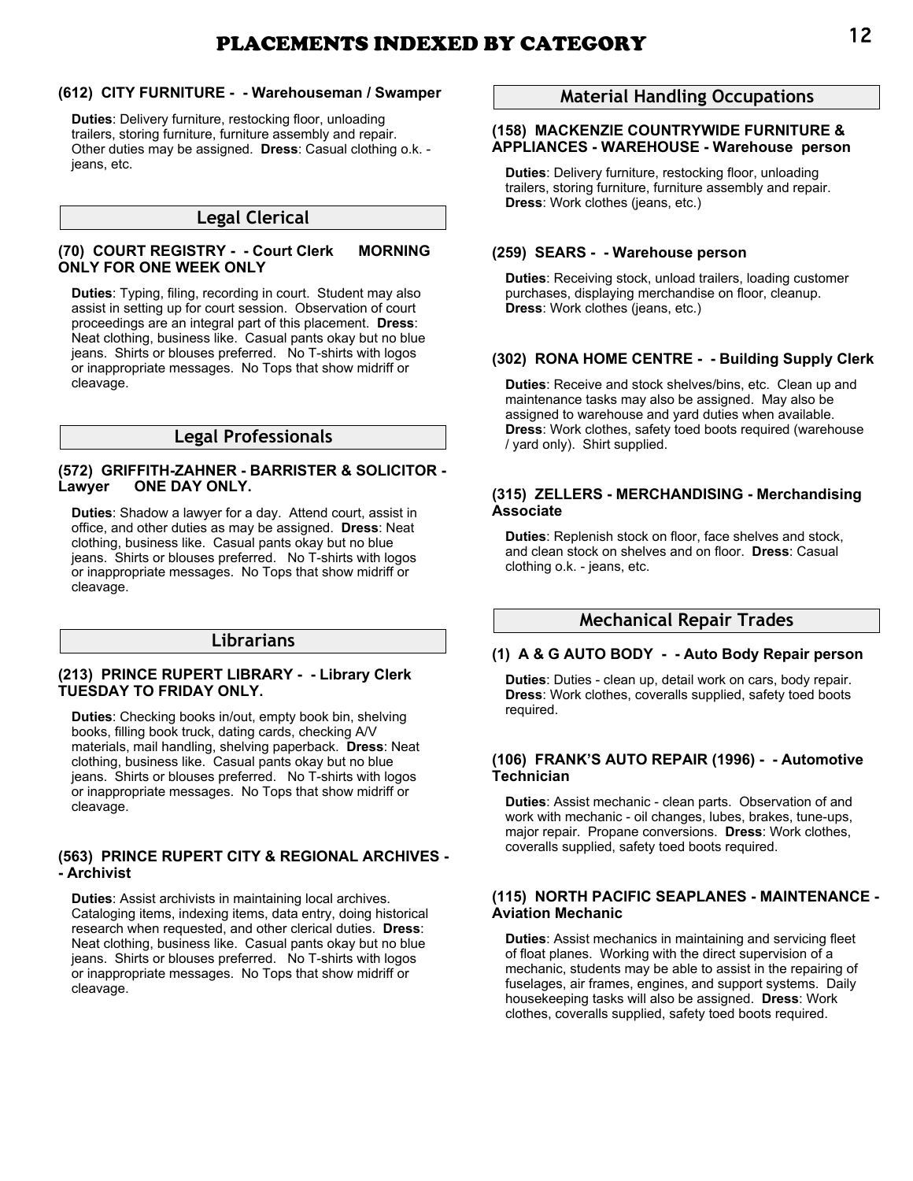# **(612) CITY FURNITURE - - Warehouseman / Swamper**

**Duties**: Delivery furniture, restocking floor, unloading trailers, storing furniture, furniture assembly and repair. Other duties may be assigned. **Dress**: Casual clothing o.k. jeans, etc.

# **Legal Clerical**

# **(70) COURT REGISTRY - - Court Clerk MORNING ONLY FOR ONE WEEK ONLY**

**Duties**: Typing, filing, recording in court. Student may also assist in setting up for court session. Observation of court proceedings are an integral part of this placement. **Dress**: Neat clothing, business like. Casual pants okay but no blue jeans. Shirts or blouses preferred. No T-shirts with logos or inappropriate messages. No Tops that show midriff or cleavage.

# **Legal Professionals**

### **(572) GRIFFITH-ZAHNER - BARRISTER & SOLICITOR - Lawyer ONE DAY ONLY.**

**Duties**: Shadow a lawyer for a day. Attend court, assist in office, and other duties as may be assigned. **Dress**: Neat clothing, business like. Casual pants okay but no blue jeans. Shirts or blouses preferred. No T-shirts with logos or inappropriate messages. No Tops that show midriff or cleavage.

# **Librarians**

### **(213) PRINCE RUPERT LIBRARY - - Library Clerk TUESDAY TO FRIDAY ONLY.**

**Duties**: Checking books in/out, empty book bin, shelving books, filling book truck, dating cards, checking A/V materials, mail handling, shelving paperback. **Dress**: Neat clothing, business like. Casual pants okay but no blue jeans. Shirts or blouses preferred. No T-shirts with logos or inappropriate messages. No Tops that show midriff or cleavage.

### **(563) PRINCE RUPERT CITY & REGIONAL ARCHIVES - - Archivist**

**Duties**: Assist archivists in maintaining local archives. Cataloging items, indexing items, data entry, doing historical research when requested, and other clerical duties. **Dress**: Neat clothing, business like. Casual pants okay but no blue jeans. Shirts or blouses preferred. No T-shirts with logos or inappropriate messages. No Tops that show midriff or cleavage.

# **Material Handling Occupations**

# **(158) MACKENZIE COUNTRYWIDE FURNITURE & APPLIANCES - WAREHOUSE - Warehouse person**

**Duties**: Delivery furniture, restocking floor, unloading trailers, storing furniture, furniture assembly and repair. **Dress**: Work clothes (jeans, etc.)

# **(259) SEARS - - Warehouse person**

**Duties**: Receiving stock, unload trailers, loading customer purchases, displaying merchandise on floor, cleanup. **Dress**: Work clothes (jeans, etc.)

# **(302) RONA HOME CENTRE - - Building Supply Clerk**

**Duties**: Receive and stock shelves/bins, etc. Clean up and maintenance tasks may also be assigned. May also be assigned to warehouse and yard duties when available. **Dress**: Work clothes, safety toed boots required (warehouse / yard only). Shirt supplied.

#### **(315) ZELLERS - MERCHANDISING - Merchandising Associate**

**Duties**: Replenish stock on floor, face shelves and stock, and clean stock on shelves and on floor. **Dress**: Casual clothing o.k. - jeans, etc.

# **Mechanical Repair Trades**

# **(1) A & G AUTO BODY - - Auto Body Repair person**

**Duties**: Duties - clean up, detail work on cars, body repair. **Dress**: Work clothes, coveralls supplied, safety toed boots required.

### **(106) FRANK'S AUTO REPAIR (1996) - - Automotive Technician**

**Duties**: Assist mechanic - clean parts. Observation of and work with mechanic - oil changes, lubes, brakes, tune-ups, major repair. Propane conversions. **Dress**: Work clothes, coveralls supplied, safety toed boots required.

### **(115) NORTH PACIFIC SEAPLANES - MAINTENANCE - Aviation Mechanic**

**Duties**: Assist mechanics in maintaining and servicing fleet of float planes. Working with the direct supervision of a mechanic, students may be able to assist in the repairing of fuselages, air frames, engines, and support systems. Daily housekeeping tasks will also be assigned. **Dress**: Work clothes, coveralls supplied, safety toed boots required.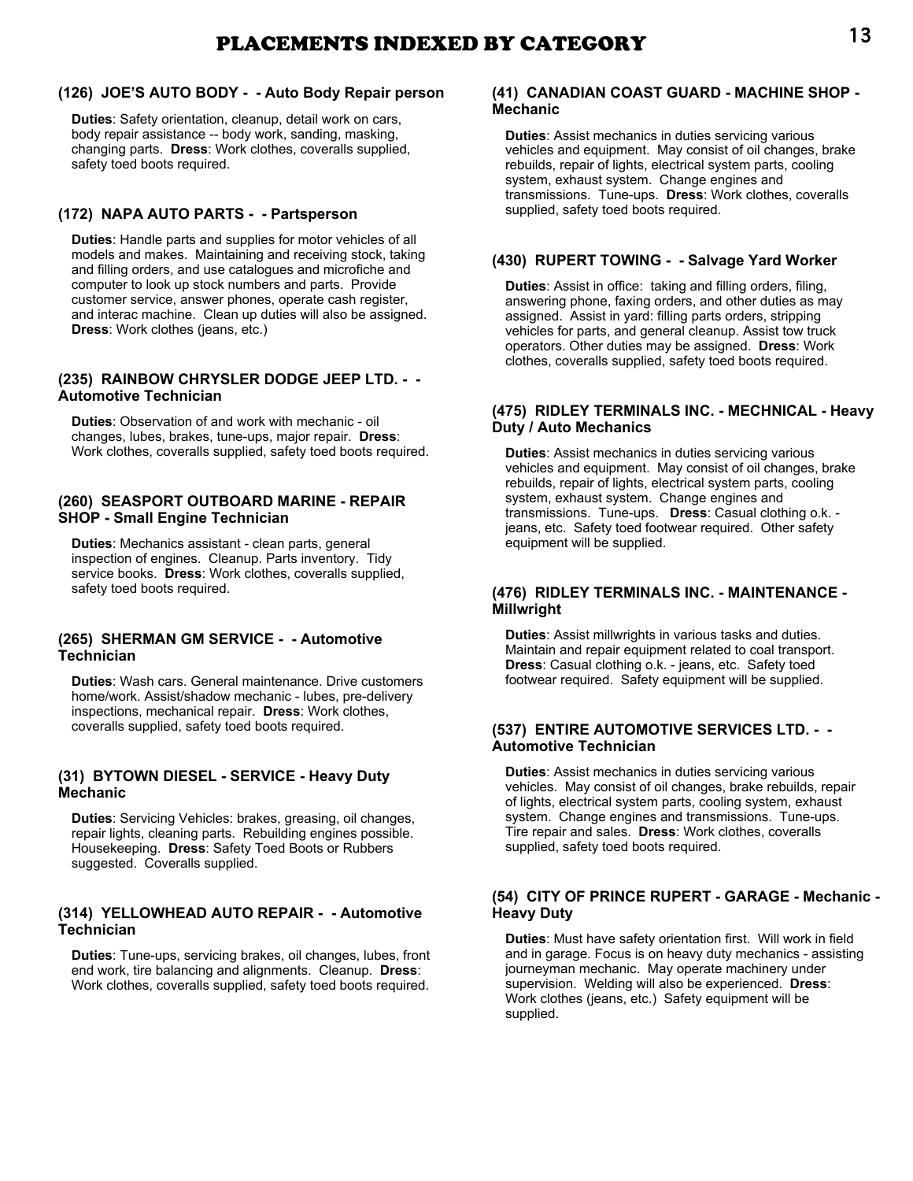# PLACEMENTS INDEXED BY CATEGORY 13

# **(126) JOE'S AUTO BODY - - Auto Body Repair person**

**Duties**: Safety orientation, cleanup, detail work on cars, body repair assistance -- body work, sanding, masking, changing parts. **Dress**: Work clothes, coveralls supplied, safety toed boots required.

# **(172) NAPA AUTO PARTS - - Partsperson**

**Duties**: Handle parts and supplies for motor vehicles of all models and makes. Maintaining and receiving stock, taking and filling orders, and use catalogues and microfiche and computer to look up stock numbers and parts. Provide customer service, answer phones, operate cash register, and interac machine. Clean up duties will also be assigned. **Dress**: Work clothes (jeans, etc.)

# **(235) RAINBOW CHRYSLER DODGE JEEP LTD. - - Automotive Technician**

**Duties**: Observation of and work with mechanic - oil changes, lubes, brakes, tune-ups, major repair. **Dress**: Work clothes, coveralls supplied, safety toed boots required.

# **(260) SEASPORT OUTBOARD MARINE - REPAIR SHOP - Small Engine Technician**

**Duties**: Mechanics assistant - clean parts, general inspection of engines. Cleanup. Parts inventory. Tidy service books. **Dress**: Work clothes, coveralls supplied, safety toed boots required.

# **(265) SHERMAN GM SERVICE - - Automotive Technician**

**Duties**: Wash cars. General maintenance. Drive customers home/work. Assist/shadow mechanic - lubes, pre-delivery inspections, mechanical repair. **Dress**: Work clothes, coveralls supplied, safety toed boots required.

# **(31) BYTOWN DIESEL - SERVICE - Heavy Duty Mechanic**

**Duties**: Servicing Vehicles: brakes, greasing, oil changes, repair lights, cleaning parts. Rebuilding engines possible. Housekeeping. **Dress**: Safety Toed Boots or Rubbers suggested. Coveralls supplied.

# **(314) YELLOWHEAD AUTO REPAIR - - Automotive Technician**

**Duties**: Tune-ups, servicing brakes, oil changes, lubes, front end work, tire balancing and alignments. Cleanup. **Dress**: Work clothes, coveralls supplied, safety toed boots required.

# **(41) CANADIAN COAST GUARD - MACHINE SHOP - Mechanic**

**Duties**: Assist mechanics in duties servicing various vehicles and equipment. May consist of oil changes, brake rebuilds, repair of lights, electrical system parts, cooling system, exhaust system. Change engines and transmissions. Tune-ups. **Dress**: Work clothes, coveralls supplied, safety toed boots required.

# **(430) RUPERT TOWING - - Salvage Yard Worker**

**Duties**: Assist in office: taking and filling orders, filing, answering phone, faxing orders, and other duties as may assigned. Assist in yard: filling parts orders, stripping vehicles for parts, and general cleanup. Assist tow truck operators. Other duties may be assigned. **Dress**: Work clothes, coveralls supplied, safety toed boots required.

# **(475) RIDLEY TERMINALS INC. - MECHNICAL - Heavy Duty / Auto Mechanics**

**Duties**: Assist mechanics in duties servicing various vehicles and equipment. May consist of oil changes, brake rebuilds, repair of lights, electrical system parts, cooling system, exhaust system. Change engines and transmissions. Tune-ups. **Dress**: Casual clothing o.k. jeans, etc. Safety toed footwear required. Other safety equipment will be supplied.

# **(476) RIDLEY TERMINALS INC. - MAINTENANCE - Millwright**

**Duties**: Assist millwrights in various tasks and duties. Maintain and repair equipment related to coal transport. **Dress**: Casual clothing o.k. - jeans, etc. Safety toed footwear required. Safety equipment will be supplied.

# **(537) ENTIRE AUTOMOTIVE SERVICES LTD. - - Automotive Technician**

**Duties**: Assist mechanics in duties servicing various vehicles. May consist of oil changes, brake rebuilds, repair of lights, electrical system parts, cooling system, exhaust system. Change engines and transmissions. Tune-ups. Tire repair and sales. **Dress**: Work clothes, coveralls supplied, safety toed boots required.

# **(54) CITY OF PRINCE RUPERT - GARAGE - Mechanic - Heavy Duty**

**Duties**: Must have safety orientation first. Will work in field and in garage. Focus is on heavy duty mechanics - assisting journeyman mechanic. May operate machinery under supervision. Welding will also be experienced. **Dress**: Work clothes (jeans, etc.) Safety equipment will be supplied.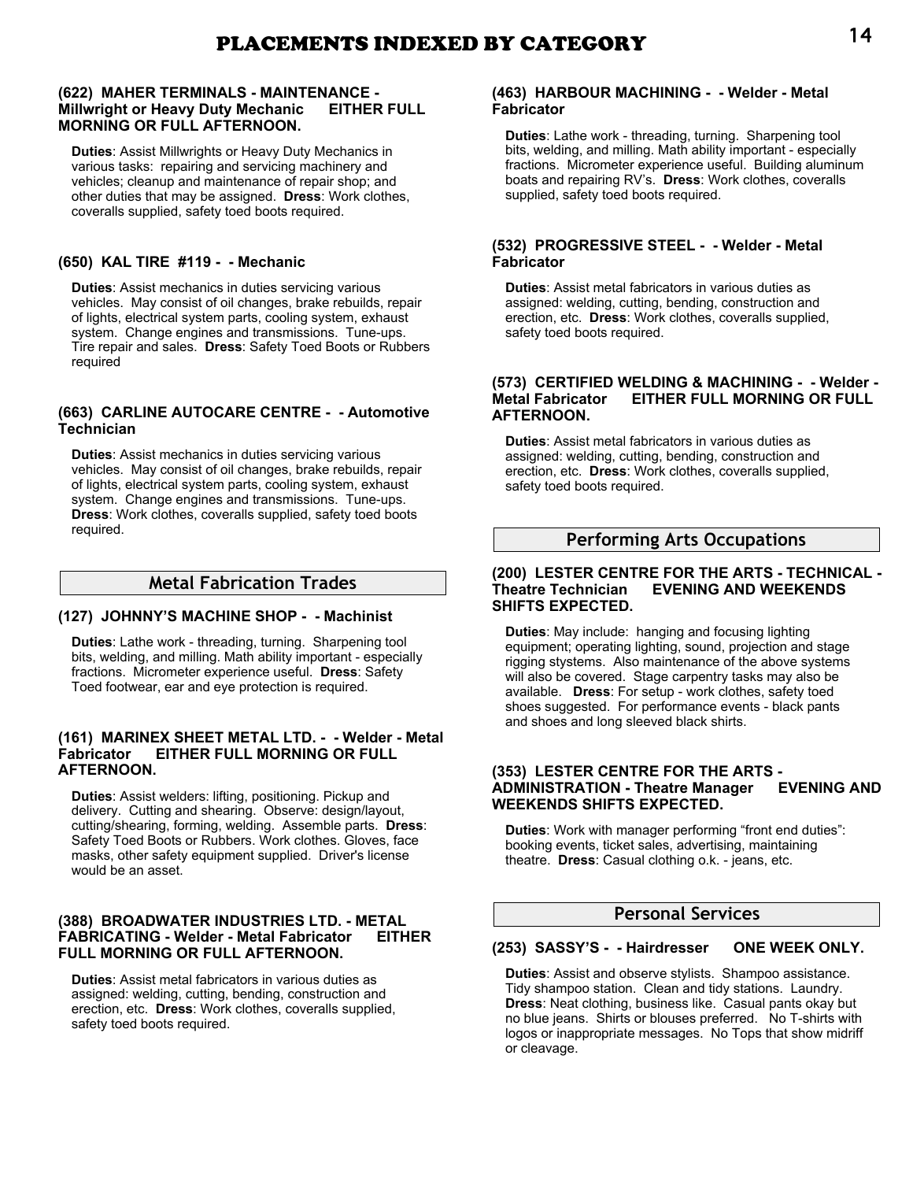### **(622) MAHER TERMINALS - MAINTENANCE - Millwright or Heavy Duty Mechanic EITHER FULL MORNING OR FULL AFTERNOON.**

**Duties**: Assist Millwrights or Heavy Duty Mechanics in various tasks: repairing and servicing machinery and vehicles; cleanup and maintenance of repair shop; and other duties that may be assigned. **Dress**: Work clothes, coveralls supplied, safety toed boots required.

# **(650) KAL TIRE #119 - - Mechanic**

**Duties**: Assist mechanics in duties servicing various vehicles. May consist of oil changes, brake rebuilds, repair of lights, electrical system parts, cooling system, exhaust system. Change engines and transmissions. Tune-ups. Tire repair and sales. **Dress**: Safety Toed Boots or Rubbers required

### **(663) CARLINE AUTOCARE CENTRE - - Automotive Technician**

**Duties**: Assist mechanics in duties servicing various vehicles. May consist of oil changes, brake rebuilds, repair of lights, electrical system parts, cooling system, exhaust system. Change engines and transmissions. Tune-ups. **Dress**: Work clothes, coveralls supplied, safety toed boots required.

# **Metal Fabrication Trades**

# **(127) JOHNNY'S MACHINE SHOP - - Machinist**

**Duties**: Lathe work - threading, turning. Sharpening tool bits, welding, and milling. Math ability important - especially fractions. Micrometer experience useful. **Dress**: Safety Toed footwear, ear and eye protection is required.

### **(161) MARINEX SHEET METAL LTD. - - Welder - Metal Fabricator EITHER FULL MORNING OR FULL AFTERNOON.**

**Duties**: Assist welders: lifting, positioning. Pickup and delivery. Cutting and shearing. Observe: design/layout, cutting/shearing, forming, welding. Assemble parts. **Dress**: Safety Toed Boots or Rubbers. Work clothes. Gloves, face masks, other safety equipment supplied. Driver's license would be an asset.

### **(388) BROADWATER INDUSTRIES LTD. - METAL FABRICATING - Welder - Metal Fabricator EITHER FULL MORNING OR FULL AFTERNOON.**

**Duties**: Assist metal fabricators in various duties as assigned: welding, cutting, bending, construction and erection, etc. **Dress**: Work clothes, coveralls supplied, safety toed boots required.

### **(463) HARBOUR MACHINING - - Welder - Metal Fabricator**

**Duties**: Lathe work - threading, turning. Sharpening tool bits, welding, and milling. Math ability important - especially fractions. Micrometer experience useful. Building aluminum boats and repairing RV's. **Dress**: Work clothes, coveralls supplied, safety toed boots required.

### **(532) PROGRESSIVE STEEL - - Welder - Metal Fabricator**

**Duties**: Assist metal fabricators in various duties as assigned: welding, cutting, bending, construction and erection, etc. **Dress**: Work clothes, coveralls supplied, safety toed boots required.

#### **(573) CERTIFIED WELDING & MACHINING - - Welder - Metal Fabricator EITHER FULL MORNING OR FULL AFTERNOON.**

**Duties**: Assist metal fabricators in various duties as assigned: welding, cutting, bending, construction and erection, etc. **Dress**: Work clothes, coveralls supplied, safety toed boots required.

# **Performing Arts Occupations**

### **(200) LESTER CENTRE FOR THE ARTS - TECHNICAL - Theatre Technician EVENING AND WEEKENDS SHIFTS EXPECTED.**

**Duties**: May include: hanging and focusing lighting equipment; operating lighting, sound, projection and stage rigging stystems. Also maintenance of the above systems will also be covered. Stage carpentry tasks may also be available. **Dress**: For setup - work clothes, safety toed shoes suggested. For performance events - black pants and shoes and long sleeved black shirts.

### **(353) LESTER CENTRE FOR THE ARTS - ADMINISTRATION - Theatre Manager WEEKENDS SHIFTS EXPECTED.**

**Duties**: Work with manager performing "front end duties": booking events, ticket sales, advertising, maintaining theatre. **Dress**: Casual clothing o.k. - jeans, etc.

# **Personal Services**

### **(253) SASSY'S - - Hairdresser ONE WEEK ONLY.**

**Duties**: Assist and observe stylists. Shampoo assistance. Tidy shampoo station. Clean and tidy stations. Laundry. **Dress**: Neat clothing, business like. Casual pants okay but no blue jeans. Shirts or blouses preferred. No T-shirts with logos or inappropriate messages. No Tops that show midriff or cleavage.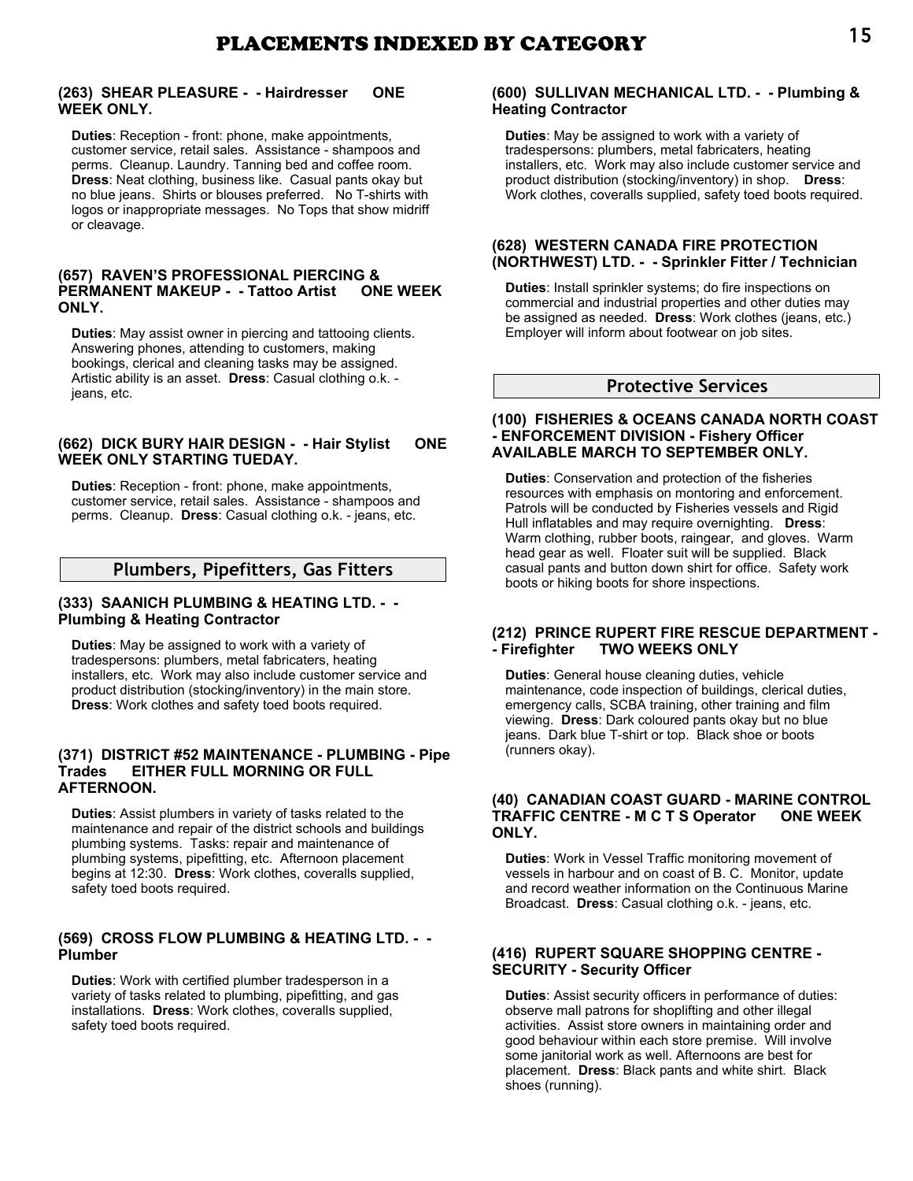# **(263) SHEAR PLEASURE - - Hairdresser ONE WEEK ONLY.**

**Duties**: Reception - front: phone, make appointments, customer service, retail sales. Assistance - shampoos and perms. Cleanup. Laundry. Tanning bed and coffee room. **Dress**: Neat clothing, business like. Casual pants okay but no blue jeans. Shirts or blouses preferred. No T-shirts with logos or inappropriate messages. No Tops that show midriff or cleavage.

### **(657) RAVEN'S PROFESSIONAL PIERCING & PERMANENT MAKEUP - - Tattoo Artist ONE WEEK ONLY.**

**Duties**: May assist owner in piercing and tattooing clients. Answering phones, attending to customers, making bookings, clerical and cleaning tasks may be assigned. Artistic ability is an asset. **Dress**: Casual clothing o.k. jeans, etc.

### **(662) DICK BURY HAIR DESIGN - - Hair Stylist ONE WEEK ONLY STARTING TUEDAY.**

**Duties**: Reception - front: phone, make appointments, customer service, retail sales. Assistance - shampoos and perms. Cleanup. **Dress**: Casual clothing o.k. - jeans, etc.

# **Plumbers, Pipefitters, Gas Fitters**

### **(333) SAANICH PLUMBING & HEATING LTD. - - Plumbing & Heating Contractor**

**Duties**: May be assigned to work with a variety of tradespersons: plumbers, metal fabricaters, heating installers, etc. Work may also include customer service and product distribution (stocking/inventory) in the main store. **Dress**: Work clothes and safety toed boots required.

### **(371) DISTRICT #52 MAINTENANCE - PLUMBING - Pipe Trades EITHER FULL MORNING OR FULL AFTERNOON.**

**Duties**: Assist plumbers in variety of tasks related to the maintenance and repair of the district schools and buildings plumbing systems. Tasks: repair and maintenance of plumbing systems, pipefitting, etc. Afternoon placement begins at 12:30. **Dress**: Work clothes, coveralls supplied, safety toed boots required.

### **(569) CROSS FLOW PLUMBING & HEATING LTD. - - Plumber**

**Duties**: Work with certified plumber tradesperson in a variety of tasks related to plumbing, pipefitting, and gas installations. **Dress**: Work clothes, coveralls supplied, safety toed boots required.

### **(600) SULLIVAN MECHANICAL LTD. - - Plumbing & Heating Contractor**

**Duties**: May be assigned to work with a variety of tradespersons: plumbers, metal fabricaters, heating installers, etc. Work may also include customer service and product distribution (stocking/inventory) in shop. **Dress**: Work clothes, coveralls supplied, safety toed boots required.

### **(628) WESTERN CANADA FIRE PROTECTION (NORTHWEST) LTD. - - Sprinkler Fitter / Technician**

**Duties**: Install sprinkler systems; do fire inspections on commercial and industrial properties and other duties may be assigned as needed. **Dress**: Work clothes (jeans, etc.) Employer will inform about footwear on job sites.

# **Protective Services**

### **(100) FISHERIES & OCEANS CANADA NORTH COAST - ENFORCEMENT DIVISION - Fishery Officer AVAILABLE MARCH TO SEPTEMBER ONLY.**

**Duties**: Conservation and protection of the fisheries resources with emphasis on montoring and enforcement. Patrols will be conducted by Fisheries vessels and Rigid Hull inflatables and may require overnighting. **Dress**: Warm clothing, rubber boots, raingear, and gloves. Warm head gear as well. Floater suit will be supplied. Black casual pants and button down shirt for office. Safety work boots or hiking boots for shore inspections.

# **(212) PRINCE RUPERT FIRE RESCUE DEPARTMENT - - Firefighter TWO WEEKS ONLY**

**Duties**: General house cleaning duties, vehicle maintenance, code inspection of buildings, clerical duties, emergency calls, SCBA training, other training and film viewing. **Dress**: Dark coloured pants okay but no blue jeans. Dark blue T-shirt or top. Black shoe or boots (runners okay).

### **(40) CANADIAN COAST GUARD - MARINE CONTROL TRAFFIC CENTRE - M C T S Operator ONE WEEK ONLY.**

**Duties**: Work in Vessel Traffic monitoring movement of vessels in harbour and on coast of B. C. Monitor, update and record weather information on the Continuous Marine Broadcast. **Dress**: Casual clothing o.k. - jeans, etc.

### **(416) RUPERT SQUARE SHOPPING CENTRE - SECURITY - Security Officer**

**Duties**: Assist security officers in performance of duties: observe mall patrons for shoplifting and other illegal activities. Assist store owners in maintaining order and good behaviour within each store premise. Will involve some janitorial work as well. Afternoons are best for placement. **Dress**: Black pants and white shirt. Black shoes (running).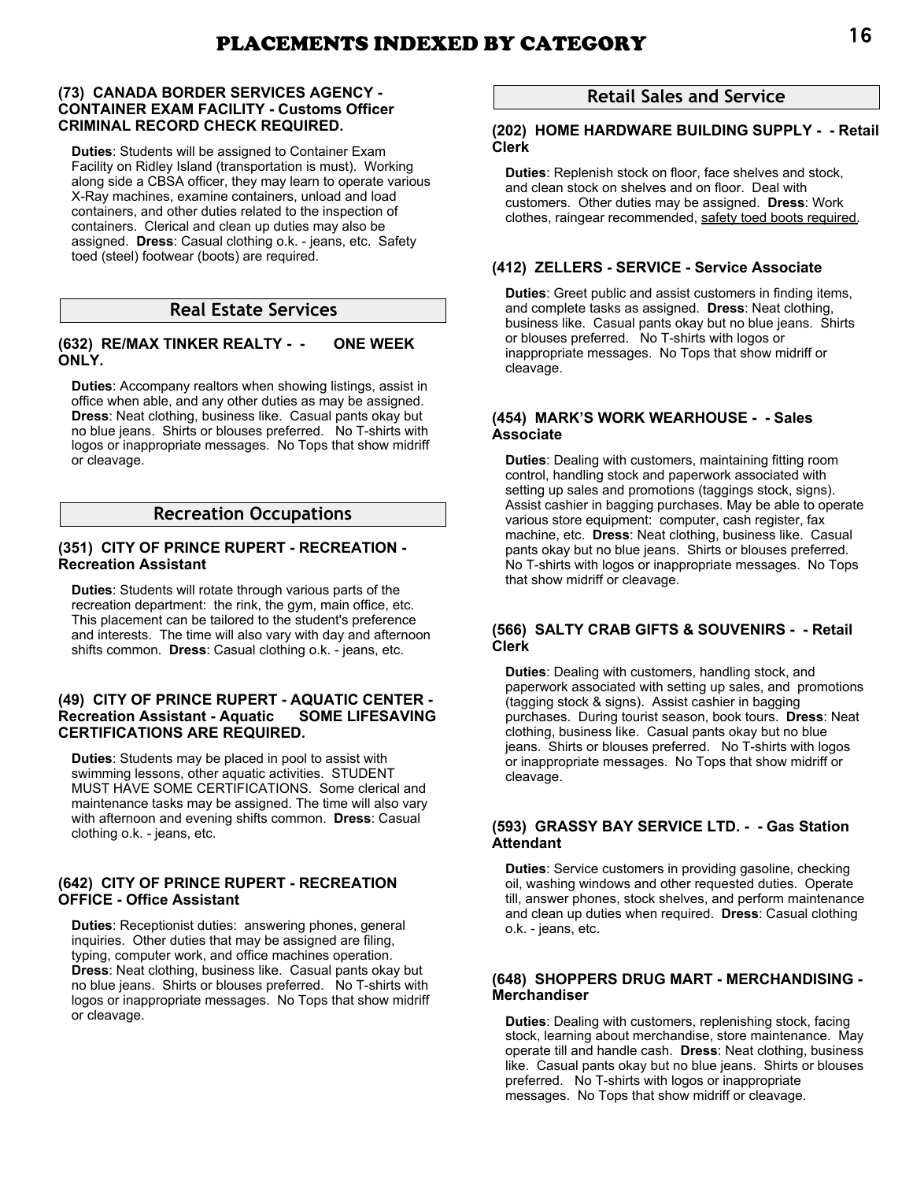### **(73) CANADA BORDER SERVICES AGENCY - CONTAINER EXAM FACILITY - Customs Officer CRIMINAL RECORD CHECK REQUIRED.**

**Duties**: Students will be assigned to Container Exam Facility on Ridley Island (transportation is must). Working along side a CBSA officer, they may learn to operate various X-Ray machines, examine containers, unload and load containers, and other duties related to the inspection of containers. Clerical and clean up duties may also be assigned. **Dress**: Casual clothing o.k. - jeans, etc. Safety toed (steel) footwear (boots) are required.

# **Real Estate Services**

# **(632) RE/MAX TINKER REALTY - - ONE WEEK ONLY.**

**Duties**: Accompany realtors when showing listings, assist in office when able, and any other duties as may be assigned. **Dress**: Neat clothing, business like. Casual pants okay but no blue jeans. Shirts or blouses preferred. No T-shirts with logos or inappropriate messages. No Tops that show midriff or cleavage.

# **Recreation Occupations**

### **(351) CITY OF PRINCE RUPERT - RECREATION - Recreation Assistant**

**Duties**: Students will rotate through various parts of the recreation department: the rink, the gym, main office, etc. This placement can be tailored to the student's preference and interests. The time will also vary with day and afternoon shifts common. **Dress**: Casual clothing o.k. - jeans, etc.

### **(49) CITY OF PRINCE RUPERT - AQUATIC CENTER - Recreation Assistant - Aquatic SOME LIFESAVING CERTIFICATIONS ARE REQUIRED.**

**Duties**: Students may be placed in pool to assist with swimming lessons, other aquatic activities. STUDENT MUST HAVE SOME CERTIFICATIONS. Some clerical and maintenance tasks may be assigned. The time will also vary with afternoon and evening shifts common. **Dress**: Casual clothing o.k. - jeans, etc.

### **(642) CITY OF PRINCE RUPERT - RECREATION OFFICE - Office Assistant**

**Duties**: Receptionist duties: answering phones, general inquiries. Other duties that may be assigned are filing, typing, computer work, and office machines operation. **Dress**: Neat clothing, business like. Casual pants okay but no blue jeans. Shirts or blouses preferred. No T-shirts with logos or inappropriate messages. No Tops that show midriff or cleavage.

# **Retail Sales and Service**

### **(202) HOME HARDWARE BUILDING SUPPLY - - Retail Clerk**

**Duties**: Replenish stock on floor, face shelves and stock, and clean stock on shelves and on floor. Deal with customers. Other duties may be assigned. **Dress**: Work clothes, raingear recommended, safety toed boots required.

# **(412) ZELLERS - SERVICE - Service Associate**

**Duties**: Greet public and assist customers in finding items, and complete tasks as assigned. **Dress**: Neat clothing, business like. Casual pants okay but no blue jeans. Shirts or blouses preferred. No T-shirts with logos or inappropriate messages. No Tops that show midriff or cleavage.

### **(454) MARK'S WORK WEARHOUSE - - Sales Associate**

**Duties**: Dealing with customers, maintaining fitting room control, handling stock and paperwork associated with setting up sales and promotions (taggings stock, signs). Assist cashier in bagging purchases. May be able to operate various store equipment: computer, cash register, fax machine, etc. **Dress**: Neat clothing, business like. Casual pants okay but no blue jeans. Shirts or blouses preferred. No T-shirts with logos or inappropriate messages. No Tops that show midriff or cleavage.

### **(566) SALTY CRAB GIFTS & SOUVENIRS - - Retail Clerk**

**Duties**: Dealing with customers, handling stock, and paperwork associated with setting up sales, and promotions (tagging stock & signs). Assist cashier in bagging purchases. During tourist season, book tours. **Dress**: Neat clothing, business like. Casual pants okay but no blue jeans. Shirts or blouses preferred. No T-shirts with logos or inappropriate messages. No Tops that show midriff or cleavage.

### **(593) GRASSY BAY SERVICE LTD. - - Gas Station Attendant**

**Duties**: Service customers in providing gasoline, checking oil, washing windows and other requested duties. Operate till, answer phones, stock shelves, and perform maintenance and clean up duties when required. **Dress**: Casual clothing o.k. - jeans, etc.

### **(648) SHOPPERS DRUG MART - MERCHANDISING - Merchandiser**

**Duties**: Dealing with customers, replenishing stock, facing stock, learning about merchandise, store maintenance. May operate till and handle cash. **Dress**: Neat clothing, business like. Casual pants okay but no blue jeans. Shirts or blouses preferred. No T-shirts with logos or inappropriate messages. No Tops that show midriff or cleavage.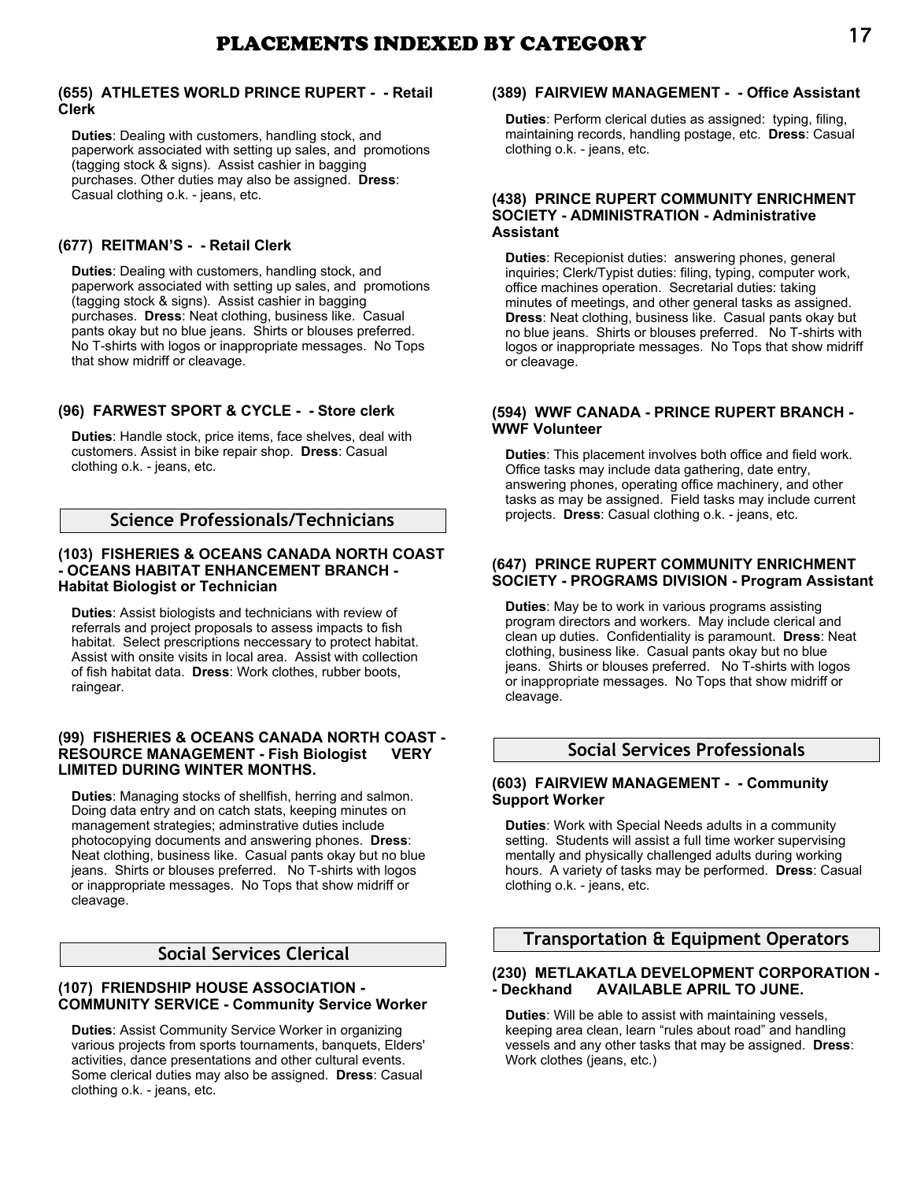# **(655) ATHLETES WORLD PRINCE RUPERT - - Retail Clerk**

**Duties**: Dealing with customers, handling stock, and paperwork associated with setting up sales, and promotions (tagging stock & signs). Assist cashier in bagging purchases. Other duties may also be assigned. **Dress**: Casual clothing o.k. - jeans, etc.

# **(677) REITMAN'S - - Retail Clerk**

**Duties**: Dealing with customers, handling stock, and paperwork associated with setting up sales, and promotions (tagging stock & signs). Assist cashier in bagging purchases. **Dress**: Neat clothing, business like. Casual pants okay but no blue jeans. Shirts or blouses preferred. No T-shirts with logos or inappropriate messages. No Tops that show midriff or cleavage.

# **(96) FARWEST SPORT & CYCLE - - Store clerk**

**Duties**: Handle stock, price items, face shelves, deal with customers. Assist in bike repair shop. **Dress**: Casual clothing o.k. - jeans, etc.

# **Science Professionals/Technicians**

# **(103) FISHERIES & OCEANS CANADA NORTH COAST - OCEANS HABITAT ENHANCEMENT BRANCH - Habitat Biologist or Technician**

**Duties**: Assist biologists and technicians with review of referrals and project proposals to assess impacts to fish habitat. Select prescriptions neccessary to protect habitat. Assist with onsite visits in local area. Assist with collection of fish habitat data. **Dress**: Work clothes, rubber boots, raingear.

# **(99) FISHERIES & OCEANS CANADA NORTH COAST - RESOURCE MANAGEMENT - Fish Biologist VERY LIMITED DURING WINTER MONTHS.**

**Duties**: Managing stocks of shellfish, herring and salmon. Doing data entry and on catch stats, keeping minutes on management strategies; adminstrative duties include photocopying documents and answering phones. **Dress**: Neat clothing, business like. Casual pants okay but no blue jeans. Shirts or blouses preferred. No T-shirts with logos or inappropriate messages. No Tops that show midriff or cleavage.

# **Social Services Clerical**

# **(107) FRIENDSHIP HOUSE ASSOCIATION - COMMUNITY SERVICE - Community Service Worker**

**Duties**: Assist Community Service Worker in organizing various projects from sports tournaments, banquets, Elders' activities, dance presentations and other cultural events. Some clerical duties may also be assigned. **Dress**: Casual clothing o.k. - jeans, etc.

# **(389) FAIRVIEW MANAGEMENT - - Office Assistant**

**Duties**: Perform clerical duties as assigned: typing, filing, maintaining records, handling postage, etc. **Dress**: Casual clothing o.k. - jeans, etc.

### **(438) PRINCE RUPERT COMMUNITY ENRICHMENT SOCIETY - ADMINISTRATION - Administrative Assistant**

**Duties**: Recepionist duties: answering phones, general inquiries; Clerk/Typist duties: filing, typing, computer work, office machines operation. Secretarial duties: taking minutes of meetings, and other general tasks as assigned. **Dress**: Neat clothing, business like. Casual pants okay but no blue jeans. Shirts or blouses preferred. No T-shirts with logos or inappropriate messages. No Tops that show midriff or cleavage.

# **(594) WWF CANADA - PRINCE RUPERT BRANCH - WWF Volunteer**

**Duties**: This placement involves both office and field work. Office tasks may include data gathering, date entry, answering phones, operating office machinery, and other tasks as may be assigned. Field tasks may include current projects. **Dress**: Casual clothing o.k. - jeans, etc.

### **(647) PRINCE RUPERT COMMUNITY ENRICHMENT SOCIETY - PROGRAMS DIVISION - Program Assistant**

**Duties**: May be to work in various programs assisting program directors and workers. May include clerical and clean up duties. Confidentiality is paramount. **Dress**: Neat clothing, business like. Casual pants okay but no blue jeans. Shirts or blouses preferred. No T-shirts with logos or inappropriate messages. No Tops that show midriff or cleavage.

# **Social Services Professionals**

### **(603) FAIRVIEW MANAGEMENT - - Community Support Worker**

**Duties**: Work with Special Needs adults in a community setting. Students will assist a full time worker supervising mentally and physically challenged adults during working hours. A variety of tasks may be performed. **Dress**: Casual clothing o.k. - jeans, etc.

# **Transportation & Equipment Operators**

### **(230) METLAKATLA DEVELOPMENT CORPORATION - - Deckhand AVAILABLE APRIL TO JUNE.**

**Duties**: Will be able to assist with maintaining vessels, keeping area clean, learn "rules about road" and handling vessels and any other tasks that may be assigned. **Dress**: Work clothes (jeans, etc.)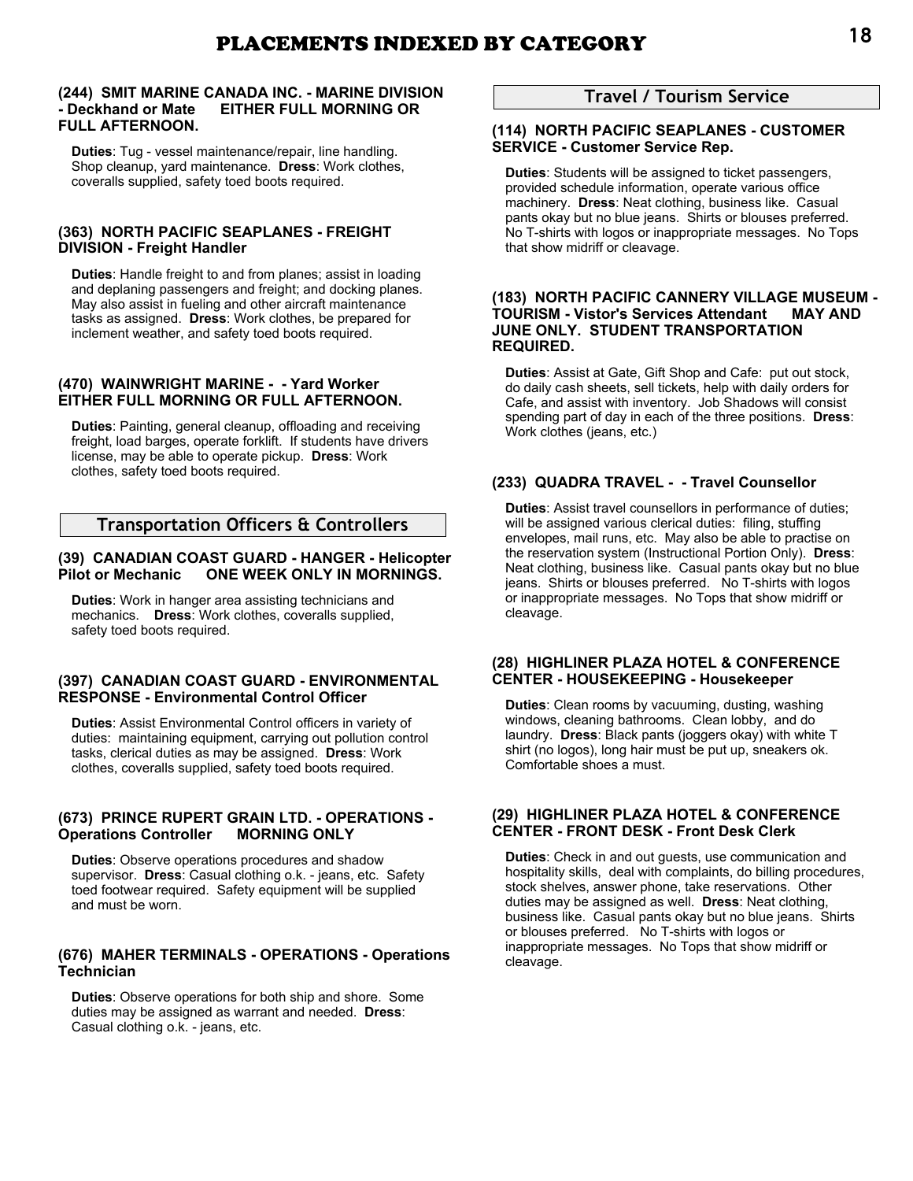### **(244) SMIT MARINE CANADA INC. - MARINE DIVISION - Deckhand or Mate EITHER FULL MORNING OR FULL AFTERNOON.**

**Duties**: Tug - vessel maintenance/repair, line handling. Shop cleanup, yard maintenance. **Dress**: Work clothes, coveralls supplied, safety toed boots required.

### **(363) NORTH PACIFIC SEAPLANES - FREIGHT DIVISION - Freight Handler**

**Duties**: Handle freight to and from planes; assist in loading and deplaning passengers and freight; and docking planes. May also assist in fueling and other aircraft maintenance tasks as assigned. **Dress**: Work clothes, be prepared for inclement weather, and safety toed boots required.

# **(470) WAINWRIGHT MARINE - - Yard Worker EITHER FULL MORNING OR FULL AFTERNOON.**

**Duties**: Painting, general cleanup, offloading and receiving freight, load barges, operate forklift. If students have drivers license, may be able to operate pickup. **Dress**: Work clothes, safety toed boots required.

# **Transportation Officers & Controllers**

# **(39) CANADIAN COAST GUARD - HANGER - Helicopter Pilot or Mechanic ONE WEEK ONLY IN MORNINGS.**

**Duties**: Work in hanger area assisting technicians and mechanics. **Dress**: Work clothes, coveralls supplied, safety toed boots required.

### **(397) CANADIAN COAST GUARD - ENVIRONMENTAL RESPONSE - Environmental Control Officer**

**Duties**: Assist Environmental Control officers in variety of duties: maintaining equipment, carrying out pollution control tasks, clerical duties as may be assigned. **Dress**: Work clothes, coveralls supplied, safety toed boots required.

### **(673) PRINCE RUPERT GRAIN LTD. - OPERATIONS - Operations Controller MORNING ONLY**

**Duties**: Observe operations procedures and shadow supervisor. **Dress**: Casual clothing o.k. - jeans, etc. Safety toed footwear required. Safety equipment will be supplied and must be worn.

### **(676) MAHER TERMINALS - OPERATIONS - Operations Technician**

**Duties**: Observe operations for both ship and shore. Some duties may be assigned as warrant and needed. **Dress**: Casual clothing o.k. - jeans, etc.

# **Travel / Tourism Service**

# **(114) NORTH PACIFIC SEAPLANES - CUSTOMER SERVICE - Customer Service Rep.**

**Duties**: Students will be assigned to ticket passengers, provided schedule information, operate various office machinery. **Dress**: Neat clothing, business like. Casual pants okay but no blue jeans. Shirts or blouses preferred. No T-shirts with logos or inappropriate messages. No Tops that show midriff or cleavage.

### **(183) NORTH PACIFIC CANNERY VILLAGE MUSEUM - TOURISM - Vistor's Services Attendant MAY AND JUNE ONLY. STUDENT TRANSPORTATION REQUIRED.**

**Duties**: Assist at Gate, Gift Shop and Cafe: put out stock, do daily cash sheets, sell tickets, help with daily orders for Cafe, and assist with inventory. Job Shadows will consist spending part of day in each of the three positions. **Dress**: Work clothes (jeans, etc.)

# **(233) QUADRA TRAVEL - - Travel Counsellor**

**Duties**: Assist travel counsellors in performance of duties; will be assigned various clerical duties: filing, stuffing envelopes, mail runs, etc. May also be able to practise on the reservation system (Instructional Portion Only). **Dress**: Neat clothing, business like. Casual pants okay but no blue jeans. Shirts or blouses preferred. No T-shirts with logos or inappropriate messages. No Tops that show midriff or cleavage.

### **(28) HIGHLINER PLAZA HOTEL & CONFERENCE CENTER - HOUSEKEEPING - Housekeeper**

**Duties**: Clean rooms by vacuuming, dusting, washing windows, cleaning bathrooms. Clean lobby, and do laundry. **Dress**: Black pants (joggers okay) with white T shirt (no logos), long hair must be put up, sneakers ok. Comfortable shoes a must.

### **(29) HIGHLINER PLAZA HOTEL & CONFERENCE CENTER - FRONT DESK - Front Desk Clerk**

**Duties**: Check in and out guests, use communication and hospitality skills, deal with complaints, do billing procedures, stock shelves, answer phone, take reservations. Other duties may be assigned as well. **Dress**: Neat clothing, business like. Casual pants okay but no blue jeans. Shirts or blouses preferred. No T-shirts with logos or inappropriate messages. No Tops that show midriff or cleavage.